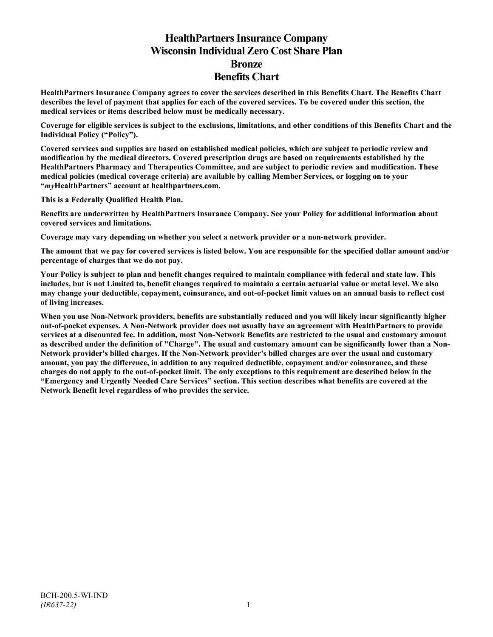# **HealthPartners Insurance Company Wisconsin Individual Zero Cost Share Plan Bronze Benefits Chart**

**HealthPartners Insurance Company agrees to cover the services described in this Benefits Chart. The Benefits Chart describes the level of payment that applies for each of the covered services. To be covered under this section, the medical services or items described below must be medically necessary.**

**Coverage for eligible services is subject to the exclusions, limitations, and other conditions of this Benefits Chart and the Individual Policy ("Policy").**

**Covered services and supplies are based on established medical policies, which are subject to periodic review and modification by the medical directors. Covered prescription drugs are based on requirements established by the HealthPartners Pharmacy and Therapeutics Committee, and are subject to periodic review and modification. These medical policies (medical coverage criteria) are available by calling Member Services, or logging on to your "***my***HealthPartners" account at [healthpartners.com.](http://www.healthpartners.com/)**

**This is a Federally Qualified Health Plan.**

**Benefits are underwritten by HealthPartners Insurance Company. See your Policy for additional information about covered services and limitations.**

**Coverage may vary depending on whether you select a network provider or a non-network provider.**

**The amount that we pay for covered services is listed below. You are responsible for the specified dollar amount and/or percentage of charges that we do not pay.**

**Your Policy is subject to plan and benefit changes required to maintain compliance with federal and state law. This includes, but is not Limited to, benefit changes required to maintain a certain actuarial value or metal level. We also may change your deductible, copayment, coinsurance, and out-of-pocket limit values on an annual basis to reflect cost of living increases.**

**When you use Non-Network providers, benefits are substantially reduced and you will likely incur significantly higher out-of-pocket expenses. A Non-Network provider does not usually have an agreement with HealthPartners to provide services at a discounted fee. In addition, most Non-Network Benefits are restricted to the usual and customary amount as described under the definition of "Charge". The usual and customary amount can be significantly lower than a Non-Network provider's billed charges. If the Non-Network provider's billed charges are over the usual and customary amount, you pay the difference, in addition to any required deductible, copayment and/or coinsurance, and these charges do not apply to the out-of-pocket limit. The only exceptions to this requirement are described below in the "Emergency and Urgently Needed Care Services" section. This section describes what benefits are covered at the Network Benefit level regardless of who provides the service.**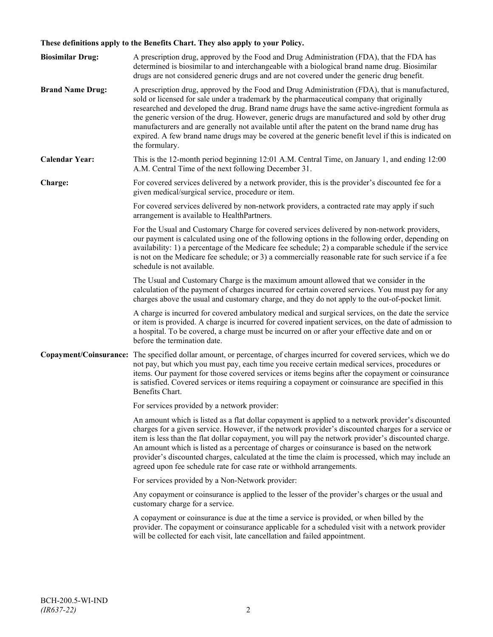# **These definitions apply to the Benefits Chart. They also apply to your Policy.**

| <b>Biosimilar Drug:</b> | A prescription drug, approved by the Food and Drug Administration (FDA), that the FDA has<br>determined is biosimilar to and interchangeable with a biological brand name drug. Biosimilar<br>drugs are not considered generic drugs and are not covered under the generic drug benefit.                                                                                                                                                                                                                                                                                                                                     |
|-------------------------|------------------------------------------------------------------------------------------------------------------------------------------------------------------------------------------------------------------------------------------------------------------------------------------------------------------------------------------------------------------------------------------------------------------------------------------------------------------------------------------------------------------------------------------------------------------------------------------------------------------------------|
| <b>Brand Name Drug:</b> | A prescription drug, approved by the Food and Drug Administration (FDA), that is manufactured,<br>sold or licensed for sale under a trademark by the pharmaceutical company that originally<br>researched and developed the drug. Brand name drugs have the same active-ingredient formula as<br>the generic version of the drug. However, generic drugs are manufactured and sold by other drug<br>manufacturers and are generally not available until after the patent on the brand name drug has<br>expired. A few brand name drugs may be covered at the generic benefit level if this is indicated on<br>the formulary. |
| <b>Calendar Year:</b>   | This is the 12-month period beginning 12:01 A.M. Central Time, on January 1, and ending 12:00<br>A.M. Central Time of the next following December 31.                                                                                                                                                                                                                                                                                                                                                                                                                                                                        |
| Charge:                 | For covered services delivered by a network provider, this is the provider's discounted fee for a<br>given medical/surgical service, procedure or item.                                                                                                                                                                                                                                                                                                                                                                                                                                                                      |
|                         | For covered services delivered by non-network providers, a contracted rate may apply if such<br>arrangement is available to HealthPartners.                                                                                                                                                                                                                                                                                                                                                                                                                                                                                  |
|                         | For the Usual and Customary Charge for covered services delivered by non-network providers,<br>our payment is calculated using one of the following options in the following order, depending on<br>availability: 1) a percentage of the Medicare fee schedule; 2) a comparable schedule if the service<br>is not on the Medicare fee schedule; or 3) a commercially reasonable rate for such service if a fee<br>schedule is not available.                                                                                                                                                                                 |
|                         | The Usual and Customary Charge is the maximum amount allowed that we consider in the<br>calculation of the payment of charges incurred for certain covered services. You must pay for any<br>charges above the usual and customary charge, and they do not apply to the out-of-pocket limit.                                                                                                                                                                                                                                                                                                                                 |
|                         | A charge is incurred for covered ambulatory medical and surgical services, on the date the service<br>or item is provided. A charge is incurred for covered inpatient services, on the date of admission to<br>a hospital. To be covered, a charge must be incurred on or after your effective date and on or<br>before the termination date.                                                                                                                                                                                                                                                                                |
|                         | Copayment/Coinsurance: The specified dollar amount, or percentage, of charges incurred for covered services, which we do<br>not pay, but which you must pay, each time you receive certain medical services, procedures or<br>items. Our payment for those covered services or items begins after the copayment or coinsurance<br>is satisfied. Covered services or items requiring a copayment or coinsurance are specified in this<br>Benefits Chart.                                                                                                                                                                      |
|                         | For services provided by a network provider:                                                                                                                                                                                                                                                                                                                                                                                                                                                                                                                                                                                 |
|                         | An amount which is listed as a flat dollar copayment is applied to a network provider's discounted<br>charges for a given service. However, if the network provider's discounted charges for a service or<br>item is less than the flat dollar copayment, you will pay the network provider's discounted charge.<br>An amount which is listed as a percentage of charges or coinsurance is based on the network<br>provider's discounted charges, calculated at the time the claim is processed, which may include an<br>agreed upon fee schedule rate for case rate or withhold arrangements.                               |
|                         | For services provided by a Non-Network provider:                                                                                                                                                                                                                                                                                                                                                                                                                                                                                                                                                                             |
|                         | Any copayment or coinsurance is applied to the lesser of the provider's charges or the usual and<br>customary charge for a service.                                                                                                                                                                                                                                                                                                                                                                                                                                                                                          |
|                         | A copayment or coinsurance is due at the time a service is provided, or when billed by the<br>provider. The copayment or coinsurance applicable for a scheduled visit with a network provider<br>will be collected for each visit, late cancellation and failed appointment.                                                                                                                                                                                                                                                                                                                                                 |
|                         |                                                                                                                                                                                                                                                                                                                                                                                                                                                                                                                                                                                                                              |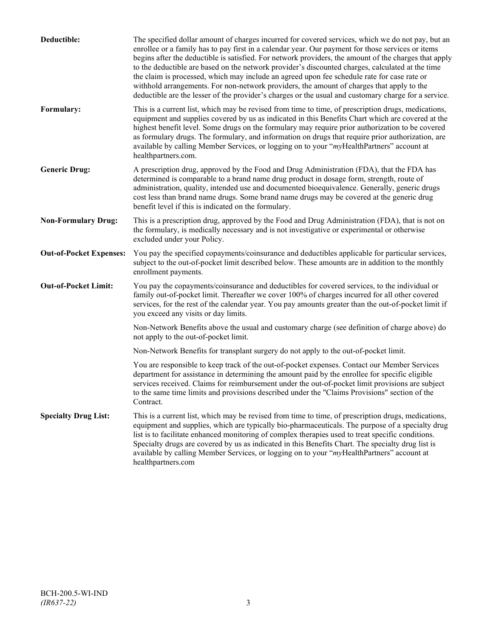| Deductible:                    | The specified dollar amount of charges incurred for covered services, which we do not pay, but an<br>enrollee or a family has to pay first in a calendar year. Our payment for those services or items<br>begins after the deductible is satisfied. For network providers, the amount of the charges that apply<br>to the deductible are based on the network provider's discounted charges, calculated at the time<br>the claim is processed, which may include an agreed upon fee schedule rate for case rate or<br>withhold arrangements. For non-network providers, the amount of charges that apply to the<br>deductible are the lesser of the provider's charges or the usual and customary charge for a service. |
|--------------------------------|-------------------------------------------------------------------------------------------------------------------------------------------------------------------------------------------------------------------------------------------------------------------------------------------------------------------------------------------------------------------------------------------------------------------------------------------------------------------------------------------------------------------------------------------------------------------------------------------------------------------------------------------------------------------------------------------------------------------------|
| Formulary:                     | This is a current list, which may be revised from time to time, of prescription drugs, medications,<br>equipment and supplies covered by us as indicated in this Benefits Chart which are covered at the<br>highest benefit level. Some drugs on the formulary may require prior authorization to be covered<br>as formulary drugs. The formulary, and information on drugs that require prior authorization, are<br>available by calling Member Services, or logging on to your "myHealthPartners" account at<br>healthpartners.com.                                                                                                                                                                                   |
| <b>Generic Drug:</b>           | A prescription drug, approved by the Food and Drug Administration (FDA), that the FDA has<br>determined is comparable to a brand name drug product in dosage form, strength, route of<br>administration, quality, intended use and documented bioequivalence. Generally, generic drugs<br>cost less than brand name drugs. Some brand name drugs may be covered at the generic drug<br>benefit level if this is indicated on the formulary.                                                                                                                                                                                                                                                                             |
| <b>Non-Formulary Drug:</b>     | This is a prescription drug, approved by the Food and Drug Administration (FDA), that is not on<br>the formulary, is medically necessary and is not investigative or experimental or otherwise<br>excluded under your Policy.                                                                                                                                                                                                                                                                                                                                                                                                                                                                                           |
| <b>Out-of-Pocket Expenses:</b> | You pay the specified copayments/coinsurance and deductibles applicable for particular services,<br>subject to the out-of-pocket limit described below. These amounts are in addition to the monthly<br>enrollment payments.                                                                                                                                                                                                                                                                                                                                                                                                                                                                                            |
| <b>Out-of-Pocket Limit:</b>    | You pay the copayments/coinsurance and deductibles for covered services, to the individual or<br>family out-of-pocket limit. Thereafter we cover 100% of charges incurred for all other covered<br>services, for the rest of the calendar year. You pay amounts greater than the out-of-pocket limit if<br>you exceed any visits or day limits.                                                                                                                                                                                                                                                                                                                                                                         |
|                                | Non-Network Benefits above the usual and customary charge (see definition of charge above) do<br>not apply to the out-of-pocket limit.                                                                                                                                                                                                                                                                                                                                                                                                                                                                                                                                                                                  |
|                                | Non-Network Benefits for transplant surgery do not apply to the out-of-pocket limit.                                                                                                                                                                                                                                                                                                                                                                                                                                                                                                                                                                                                                                    |
|                                | You are responsible to keep track of the out-of-pocket expenses. Contact our Member Services<br>department for assistance in determining the amount paid by the enrollee for specific eligible<br>services received. Claims for reimbursement under the out-of-pocket limit provisions are subject<br>to the same time limits and provisions described under the "Claims Provisions" section of the<br>Contract.                                                                                                                                                                                                                                                                                                        |
| <b>Specialty Drug List:</b>    | This is a current list, which may be revised from time to time, of prescription drugs, medications,<br>equipment and supplies, which are typically bio-pharmaceuticals. The purpose of a specialty drug<br>list is to facilitate enhanced monitoring of complex therapies used to treat specific conditions.<br>Specialty drugs are covered by us as indicated in this Benefits Chart. The specialty drug list is<br>available by calling Member Services, or logging on to your "myHealthPartners" account at<br>healthpartners.com                                                                                                                                                                                    |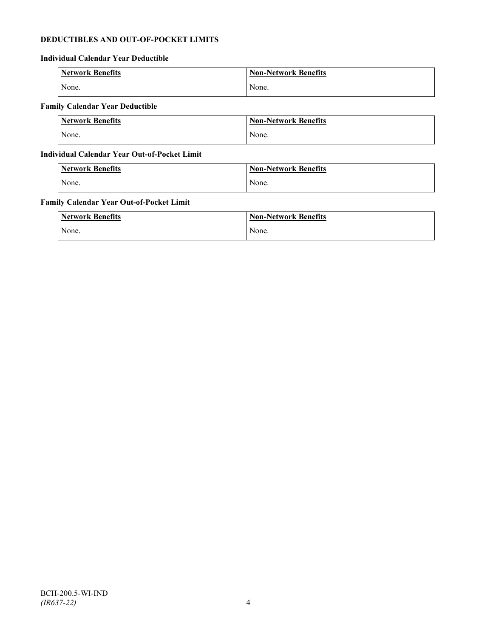# **DEDUCTIBLES AND OUT-OF-POCKET LIMITS**

# **Individual Calendar Year Deductible**

| <b>Network Benefits</b> | <b>Non-Network Benefits</b> |
|-------------------------|-----------------------------|
| None.                   | None.                       |

# **Family Calendar Year Deductible**

| <b>Network Benefits</b> | Non-Network Benefits |
|-------------------------|----------------------|
| None.                   | None.                |

# **Individual Calendar Year Out-of-Pocket Limit**

| Network Benefits | <b>Non-Network Benefits</b> |
|------------------|-----------------------------|
| None.            | None.                       |

# **Family Calendar Year Out-of-Pocket Limit**

| <b>Network Benefits</b> | <b>Non-Network Benefits</b> |
|-------------------------|-----------------------------|
| None.                   | None.                       |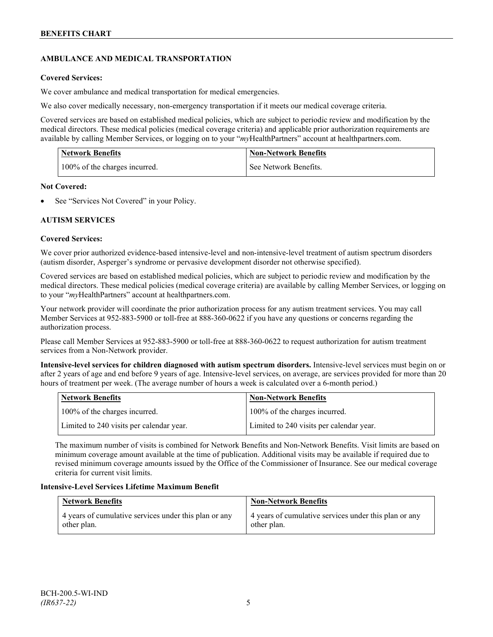# **AMBULANCE AND MEDICAL TRANSPORTATION**

# **Covered Services:**

We cover ambulance and medical transportation for medical emergencies.

We also cover medically necessary, non-emergency transportation if it meets our medical coverage criteria.

Covered services are based on established medical policies, which are subject to periodic review and modification by the medical directors. These medical policies (medical coverage criteria) and applicable prior authorization requirements are available by calling Member Services, or logging on to your "*my*HealthPartners" account a[t healthpartners.com.](http://www.healthpartners.com/)

| <b>Network Benefits</b>       | <b>Non-Network Benefits</b> |
|-------------------------------|-----------------------------|
| 100% of the charges incurred. | See Network Benefits.       |

# **Not Covered:**

See "Services Not Covered" in your Policy.

# **AUTISM SERVICES**

# **Covered Services:**

We cover prior authorized evidence-based intensive-level and non-intensive-level treatment of autism spectrum disorders (autism disorder, Asperger's syndrome or pervasive development disorder not otherwise specified).

Covered services are based on established medical policies, which are subject to periodic review and modification by the medical directors. These medical policies (medical coverage criteria) are available by calling Member Services, or logging on to your "*my*HealthPartners" account at [healthpartners.com.](http://www.healthpartners.com/)

Your network provider will coordinate the prior authorization process for any autism treatment services. You may call Member Services at 952-883-5900 or toll-free at 888-360-0622 if you have any questions or concerns regarding the authorization process.

Please call Member Services at 952-883-5900 or toll-free at 888-360-0622 to request authorization for autism treatment services from a Non-Network provider.

**Intensive-level services for children diagnosed with autism spectrum disorders.** Intensive-level services must begin on or after 2 years of age and end before 9 years of age. Intensive-level services, on average, are services provided for more than 20 hours of treatment per week. (The average number of hours a week is calculated over a 6-month period.)

| Network Benefits                         | <b>Non-Network Benefits</b>              |
|------------------------------------------|------------------------------------------|
| 100% of the charges incurred.            | 100% of the charges incurred.            |
| Limited to 240 visits per calendar year. | Limited to 240 visits per calendar year. |

The maximum number of visits is combined for Network Benefits and Non-Network Benefits. Visit limits are based on minimum coverage amount available at the time of publication. Additional visits may be available if required due to revised minimum coverage amounts issued by the Office of the Commissioner of Insurance. See our medical coverage criteria for current visit limits.

# **Intensive-Level Services Lifetime Maximum Benefit**

| <b>Network Benefits</b>                               | <b>Non-Network Benefits</b>                           |
|-------------------------------------------------------|-------------------------------------------------------|
| 4 years of cumulative services under this plan or any | 4 years of cumulative services under this plan or any |
| other plan.                                           | other plan.                                           |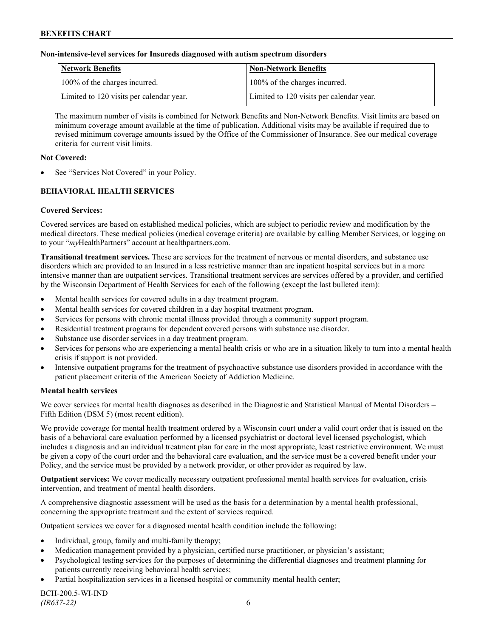### **Non-intensive-level services for Insureds diagnosed with autism spectrum disorders**

| Network Benefits                         | <b>Non-Network Benefits</b>              |
|------------------------------------------|------------------------------------------|
| 100% of the charges incurred.            | 100% of the charges incurred.            |
| Limited to 120 visits per calendar year. | Limited to 120 visits per calendar year. |

The maximum number of visits is combined for Network Benefits and Non-Network Benefits. Visit limits are based on minimum coverage amount available at the time of publication. Additional visits may be available if required due to revised minimum coverage amounts issued by the Office of the Commissioner of Insurance. See our medical coverage criteria for current visit limits.

#### **Not Covered:**

See "Services Not Covered" in your Policy.

# **BEHAVIORAL HEALTH SERVICES**

#### **Covered Services:**

Covered services are based on established medical policies, which are subject to periodic review and modification by the medical directors. These medical policies (medical coverage criteria) are available by calling Member Services, or logging on to your "*my*HealthPartners" account at [healthpartners.com.](http://www.healthpartners.com/)

**Transitional treatment services.** These are services for the treatment of nervous or mental disorders, and substance use disorders which are provided to an Insured in a less restrictive manner than are inpatient hospital services but in a more intensive manner than are outpatient services. Transitional treatment services are services offered by a provider, and certified by the Wisconsin Department of Health Services for each of the following (except the last bulleted item):

- Mental health services for covered adults in a day treatment program.
- Mental health services for covered children in a day hospital treatment program.
- Services for persons with chronic mental illness provided through a community support program.
- Residential treatment programs for dependent covered persons with substance use disorder.
- Substance use disorder services in a day treatment program.
- Services for persons who are experiencing a mental health crisis or who are in a situation likely to turn into a mental health crisis if support is not provided.
- Intensive outpatient programs for the treatment of psychoactive substance use disorders provided in accordance with the patient placement criteria of the American Society of Addiction Medicine.

#### **Mental health services**

We cover services for mental health diagnoses as described in the Diagnostic and Statistical Manual of Mental Disorders – Fifth Edition (DSM 5) (most recent edition).

We provide coverage for mental health treatment ordered by a Wisconsin court under a valid court order that is issued on the basis of a behavioral care evaluation performed by a licensed psychiatrist or doctoral level licensed psychologist, which includes a diagnosis and an individual treatment plan for care in the most appropriate, least restrictive environment. We must be given a copy of the court order and the behavioral care evaluation, and the service must be a covered benefit under your Policy, and the service must be provided by a network provider, or other provider as required by law.

**Outpatient services:** We cover medically necessary outpatient professional mental health services for evaluation, crisis intervention, and treatment of mental health disorders.

A comprehensive diagnostic assessment will be used as the basis for a determination by a mental health professional, concerning the appropriate treatment and the extent of services required.

Outpatient services we cover for a diagnosed mental health condition include the following:

- Individual, group, family and multi-family therapy;
- Medication management provided by a physician, certified nurse practitioner, or physician's assistant;
- Psychological testing services for the purposes of determining the differential diagnoses and treatment planning for patients currently receiving behavioral health services;
- Partial hospitalization services in a licensed hospital or community mental health center;

BCH-200.5-WI-IND *(IR637-22)* 6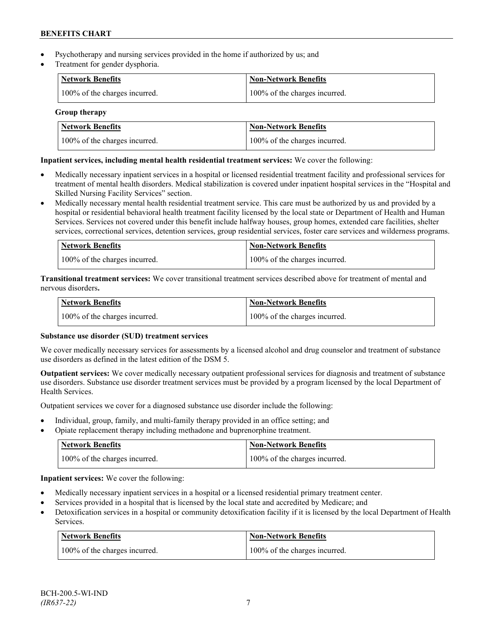- Psychotherapy and nursing services provided in the home if authorized by us; and
- Treatment for gender dysphoria.

| <b>Network Benefits</b>       | <b>Non-Network Benefits</b>   |
|-------------------------------|-------------------------------|
| 100% of the charges incurred. | 100% of the charges incurred. |

# **Group therapy**

| Network Benefits              | <b>Non-Network Benefits</b>   |
|-------------------------------|-------------------------------|
| 100% of the charges incurred. | 100% of the charges incurred. |

# **Inpatient services, including mental health residential treatment services:** We cover the following:

- Medically necessary inpatient services in a hospital or licensed residential treatment facility and professional services for treatment of mental health disorders. Medical stabilization is covered under inpatient hospital services in the "Hospital and Skilled Nursing Facility Services" section.
- Medically necessary mental health residential treatment service. This care must be authorized by us and provided by a hospital or residential behavioral health treatment facility licensed by the local state or Department of Health and Human Services. Services not covered under this benefit include halfway houses, group homes, extended care facilities, shelter services, correctional services, detention services, group residential services, foster care services and wilderness programs.

| Network Benefits              | Non-Network Benefits          |
|-------------------------------|-------------------------------|
| 100% of the charges incurred. | 100% of the charges incurred. |

**Transitional treatment services:** We cover transitional treatment services described above for treatment of mental and nervous disorders**.**

| Network Benefits              | Non-Network Benefits          |
|-------------------------------|-------------------------------|
| 100% of the charges incurred. | 100% of the charges incurred. |

# **Substance use disorder (SUD) treatment services**

We cover medically necessary services for assessments by a licensed alcohol and drug counselor and treatment of substance use disorders as defined in the latest edition of the DSM 5.

**Outpatient services:** We cover medically necessary outpatient professional services for diagnosis and treatment of substance use disorders. Substance use disorder treatment services must be provided by a program licensed by the local Department of Health Services.

Outpatient services we cover for a diagnosed substance use disorder include the following:

- Individual, group, family, and multi-family therapy provided in an office setting; and
- Opiate replacement therapy including methadone and buprenorphine treatment.

| <b>Network Benefits</b>       | <b>Non-Network Benefits</b>   |
|-------------------------------|-------------------------------|
| 100% of the charges incurred. | 100% of the charges incurred. |

**Inpatient services:** We cover the following:

- Medically necessary inpatient services in a hospital or a licensed residential primary treatment center.
- Services provided in a hospital that is licensed by the local state and accredited by Medicare; and
- Detoxification services in a hospital or community detoxification facility if it is licensed by the local Department of Health Services.

| Network Benefits              | <b>Non-Network Benefits</b>   |
|-------------------------------|-------------------------------|
| 100% of the charges incurred. | 100% of the charges incurred. |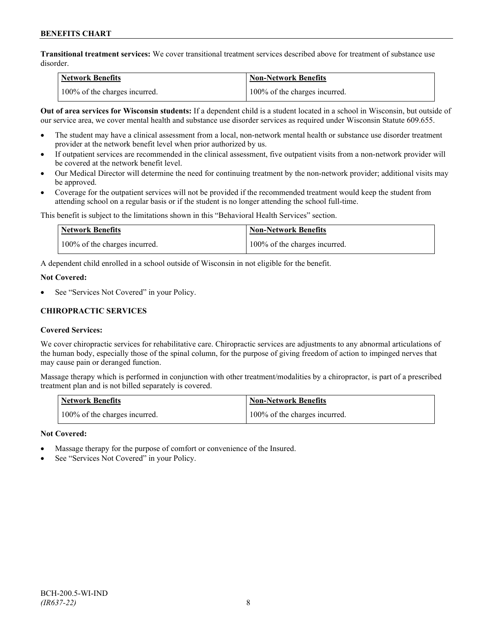**Transitional treatment services:** We cover transitional treatment services described above for treatment of substance use disorder.

| Network Benefits              | <b>Non-Network Benefits</b>   |
|-------------------------------|-------------------------------|
| 100% of the charges incurred. | 100% of the charges incurred. |

**Out of area services for Wisconsin students:** If a dependent child is a student located in a school in Wisconsin, but outside of our service area, we cover mental health and substance use disorder services as required under Wisconsin Statute 609.655.

- The student may have a clinical assessment from a local, non-network mental health or substance use disorder treatment provider at the network benefit level when prior authorized by us.
- If outpatient services are recommended in the clinical assessment, five outpatient visits from a non-network provider will be covered at the network benefit level.
- Our Medical Director will determine the need for continuing treatment by the non-network provider; additional visits may be approved.
- Coverage for the outpatient services will not be provided if the recommended treatment would keep the student from attending school on a regular basis or if the student is no longer attending the school full-time.

This benefit is subject to the limitations shown in this "Behavioral Health Services" section.

| Network Benefits              | <b>Non-Network Benefits</b>   |
|-------------------------------|-------------------------------|
| 100% of the charges incurred. | 100% of the charges incurred. |

A dependent child enrolled in a school outside of Wisconsin in not eligible for the benefit.

#### **Not Covered:**

See "Services Not Covered" in your Policy.

# **CHIROPRACTIC SERVICES**

#### **Covered Services:**

We cover chiropractic services for rehabilitative care. Chiropractic services are adjustments to any abnormal articulations of the human body, especially those of the spinal column, for the purpose of giving freedom of action to impinged nerves that may cause pain or deranged function.

Massage therapy which is performed in conjunction with other treatment/modalities by a chiropractor, is part of a prescribed treatment plan and is not billed separately is covered.

| <b>Network Benefits</b>       | 'Non-Network Benefits         |
|-------------------------------|-------------------------------|
| 100% of the charges incurred. | 100% of the charges incurred. |

#### **Not Covered:**

- Massage therapy for the purpose of comfort or convenience of the Insured.
- See "Services Not Covered" in your Policy.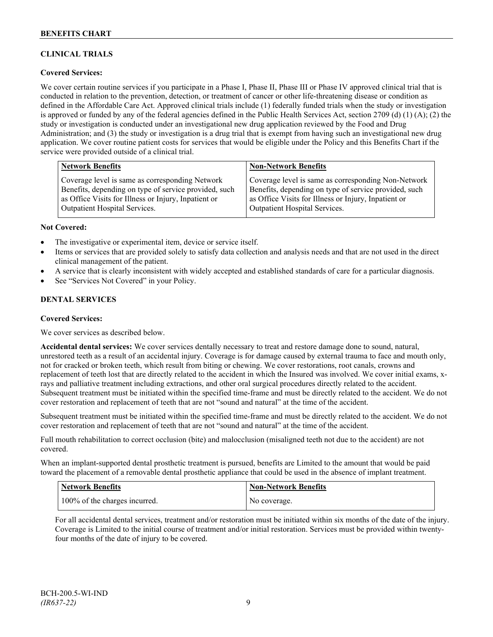# **CLINICAL TRIALS**

# **Covered Services:**

We cover certain routine services if you participate in a Phase I, Phase II, Phase III or Phase IV approved clinical trial that is conducted in relation to the prevention, detection, or treatment of cancer or other life-threatening disease or condition as defined in the Affordable Care Act. Approved clinical trials include (1) federally funded trials when the study or investigation is approved or funded by any of the federal agencies defined in the Public Health Services Act, section 2709 (d) (1) (A); (2) the study or investigation is conducted under an investigational new drug application reviewed by the Food and Drug Administration; and (3) the study or investigation is a drug trial that is exempt from having such an investigational new drug application. We cover routine patient costs for services that would be eligible under the Policy and this Benefits Chart if the service were provided outside of a clinical trial.

| <b>Network Benefits</b>                               | <b>Non-Network Benefits</b>                           |
|-------------------------------------------------------|-------------------------------------------------------|
| Coverage level is same as corresponding Network       | Coverage level is same as corresponding Non-Network   |
| Benefits, depending on type of service provided, such | Benefits, depending on type of service provided, such |
| as Office Visits for Illness or Injury, Inpatient or  | as Office Visits for Illness or Injury, Inpatient or  |
| <b>Outpatient Hospital Services.</b>                  | Outpatient Hospital Services.                         |

#### **Not Covered:**

- The investigative or experimental item, device or service itself.
- Items or services that are provided solely to satisfy data collection and analysis needs and that are not used in the direct clinical management of the patient.
- A service that is clearly inconsistent with widely accepted and established standards of care for a particular diagnosis.
- See "Services Not Covered" in your Policy.

# **DENTAL SERVICES**

#### **Covered Services:**

We cover services as described below.

**Accidental dental services:** We cover services dentally necessary to treat and restore damage done to sound, natural, unrestored teeth as a result of an accidental injury. Coverage is for damage caused by external trauma to face and mouth only, not for cracked or broken teeth, which result from biting or chewing. We cover restorations, root canals, crowns and replacement of teeth lost that are directly related to the accident in which the Insured was involved. We cover initial exams, xrays and palliative treatment including extractions, and other oral surgical procedures directly related to the accident. Subsequent treatment must be initiated within the specified time-frame and must be directly related to the accident. We do not cover restoration and replacement of teeth that are not "sound and natural" at the time of the accident.

Subsequent treatment must be initiated within the specified time-frame and must be directly related to the accident. We do not cover restoration and replacement of teeth that are not "sound and natural" at the time of the accident.

Full mouth rehabilitation to correct occlusion (bite) and malocclusion (misaligned teeth not due to the accident) are not covered.

When an implant-supported dental prosthetic treatment is pursued, benefits are Limited to the amount that would be paid toward the placement of a removable dental prosthetic appliance that could be used in the absence of implant treatment.

| <b>Network Benefits</b>       | <b>Non-Network Benefits</b> |
|-------------------------------|-----------------------------|
| 100% of the charges incurred. | No coverage.                |

For all accidental dental services, treatment and/or restoration must be initiated within six months of the date of the injury. Coverage is Limited to the initial course of treatment and/or initial restoration. Services must be provided within twentyfour months of the date of injury to be covered.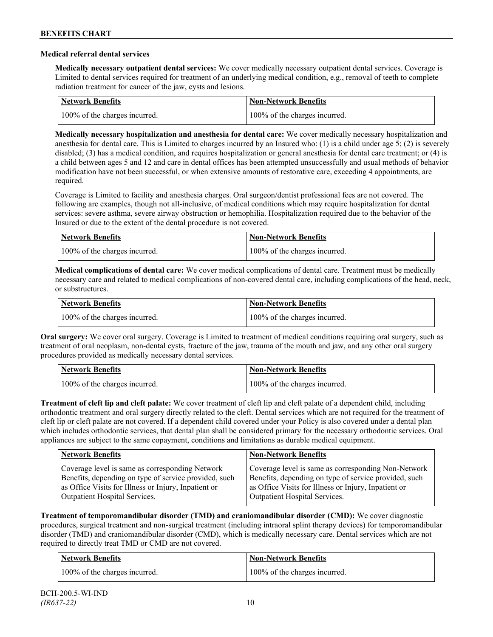### **Medical referral dental services**

**Medically necessary outpatient dental services:** We cover medically necessary outpatient dental services. Coverage is Limited to dental services required for treatment of an underlying medical condition, e.g., removal of teeth to complete radiation treatment for cancer of the jaw, cysts and lesions.

| Network Benefits              | <b>Non-Network Benefits</b>   |
|-------------------------------|-------------------------------|
| 100% of the charges incurred. | 100% of the charges incurred. |

**Medically necessary hospitalization and anesthesia for dental care:** We cover medically necessary hospitalization and anesthesia for dental care. This is Limited to charges incurred by an Insured who: (1) is a child under age 5; (2) is severely disabled; (3) has a medical condition, and requires hospitalization or general anesthesia for dental care treatment; or (4) is a child between ages 5 and 12 and care in dental offices has been attempted unsuccessfully and usual methods of behavior modification have not been successful, or when extensive amounts of restorative care, exceeding 4 appointments, are required.

Coverage is Limited to facility and anesthesia charges. Oral surgeon/dentist professional fees are not covered. The following are examples, though not all-inclusive, of medical conditions which may require hospitalization for dental services: severe asthma, severe airway obstruction or hemophilia. Hospitalization required due to the behavior of the Insured or due to the extent of the dental procedure is not covered.

| Network Benefits              | <b>Non-Network Benefits</b>   |
|-------------------------------|-------------------------------|
| 100% of the charges incurred. | 100% of the charges incurred. |

**Medical complications of dental care:** We cover medical complications of dental care. Treatment must be medically necessary care and related to medical complications of non-covered dental care, including complications of the head, neck, or substructures.

| Network Benefits              | Non-Network Benefits          |
|-------------------------------|-------------------------------|
| 100% of the charges incurred. | 100% of the charges incurred. |

**Oral surgery:** We cover oral surgery. Coverage is Limited to treatment of medical conditions requiring oral surgery, such as treatment of oral neoplasm, non-dental cysts, fracture of the jaw, trauma of the mouth and jaw, and any other oral surgery procedures provided as medically necessary dental services.

| <b>Network Benefits</b>       | <b>Non-Network Benefits</b>   |
|-------------------------------|-------------------------------|
| 100% of the charges incurred. | 100% of the charges incurred. |

**Treatment of cleft lip and cleft palate:** We cover treatment of cleft lip and cleft palate of a dependent child, including orthodontic treatment and oral surgery directly related to the cleft. Dental services which are not required for the treatment of cleft lip or cleft palate are not covered. If a dependent child covered under your Policy is also covered under a dental plan which includes orthodontic services, that dental plan shall be considered primary for the necessary orthodontic services. Oral appliances are subject to the same copayment, conditions and limitations as durable medical equipment.

| <b>Network Benefits</b>                               | <b>Non-Network Benefits</b>                           |
|-------------------------------------------------------|-------------------------------------------------------|
| Coverage level is same as corresponding Network       | Coverage level is same as corresponding Non-Network   |
| Benefits, depending on type of service provided, such | Benefits, depending on type of service provided, such |
| as Office Visits for Illness or Injury, Inpatient or  | as Office Visits for Illness or Injury, Inpatient or  |
| Outpatient Hospital Services.                         | Outpatient Hospital Services.                         |

**Treatment of temporomandibular disorder (TMD) and craniomandibular disorder (CMD):** We cover diagnostic procedures, surgical treatment and non-surgical treatment (including intraoral splint therapy devices) for temporomandibular disorder (TMD) and craniomandibular disorder (CMD), which is medically necessary care. Dental services which are not required to directly treat TMD or CMD are not covered.

| <b>Network Benefits</b>       | <b>Non-Network Benefits</b>   |
|-------------------------------|-------------------------------|
| 100% of the charges incurred. | 100% of the charges incurred. |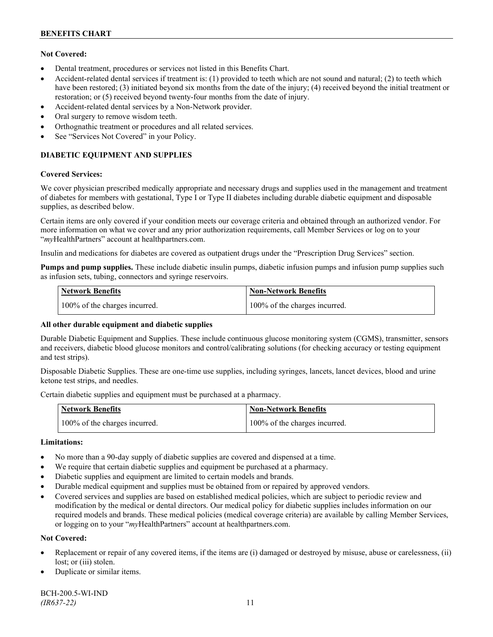# **Not Covered:**

- Dental treatment, procedures or services not listed in this Benefits Chart.
- Accident-related dental services if treatment is: (1) provided to teeth which are not sound and natural; (2) to teeth which have been restored; (3) initiated beyond six months from the date of the injury; (4) received beyond the initial treatment or restoration; or (5) received beyond twenty-four months from the date of injury.
- Accident-related dental services by a Non-Network provider.
- Oral surgery to remove wisdom teeth.
- Orthognathic treatment or procedures and all related services.
- See "Services Not Covered" in your Policy.

# **DIABETIC EQUIPMENT AND SUPPLIES**

#### **Covered Services:**

We cover physician prescribed medically appropriate and necessary drugs and supplies used in the management and treatment of diabetes for members with gestational, Type I or Type II diabetes including durable diabetic equipment and disposable supplies, as described below.

Certain items are only covered if your condition meets our coverage criteria and obtained through an authorized vendor. For more information on what we cover and any prior authorization requirements, call Member Services or log on to your "*my*HealthPartners" account at [healthpartners.com.](http://www.healthpartners.com/)

Insulin and medications for diabetes are covered as outpatient drugs under the "Prescription Drug Services" section.

**Pumps and pump supplies.** These include diabetic insulin pumps, diabetic infusion pumps and infusion pump supplies such as infusion sets, tubing, connectors and syringe reservoirs.

| <b>Network Benefits</b>       | <b>Non-Network Benefits</b>   |
|-------------------------------|-------------------------------|
| 100% of the charges incurred. | 100% of the charges incurred. |

# **All other durable equipment and diabetic supplies**

Durable Diabetic Equipment and Supplies. These include continuous glucose monitoring system (CGMS), transmitter, sensors and receivers, diabetic blood glucose monitors and control/calibrating solutions (for checking accuracy or testing equipment and test strips).

Disposable Diabetic Supplies. These are one-time use supplies, including syringes, lancets, lancet devices, blood and urine ketone test strips, and needles.

Certain diabetic supplies and equipment must be purchased at a pharmacy.

| <b>Network Benefits</b>       | <b>Non-Network Benefits</b>   |
|-------------------------------|-------------------------------|
| 100% of the charges incurred. | 100% of the charges incurred. |

# **Limitations:**

- No more than a 90-day supply of diabetic supplies are covered and dispensed at a time.
- We require that certain diabetic supplies and equipment be purchased at a pharmacy.
- Diabetic supplies and equipment are limited to certain models and brands.
- Durable medical equipment and supplies must be obtained from or repaired by approved vendors.
- Covered services and supplies are based on established medical policies, which are subject to periodic review and modification by the medical or dental directors. Our medical policy for diabetic supplies includes information on our required models and brands. These medical policies (medical coverage criteria) are available by calling Member Services, or logging on to your "*my*HealthPartners" account at healthpartners.com.

# **Not Covered:**

- Replacement or repair of any covered items, if the items are (i) damaged or destroyed by misuse, abuse or carelessness, (ii) lost; or (iii) stolen.
- Duplicate or similar items.

BCH-200.5-WI-IND *(IR637-22)* 11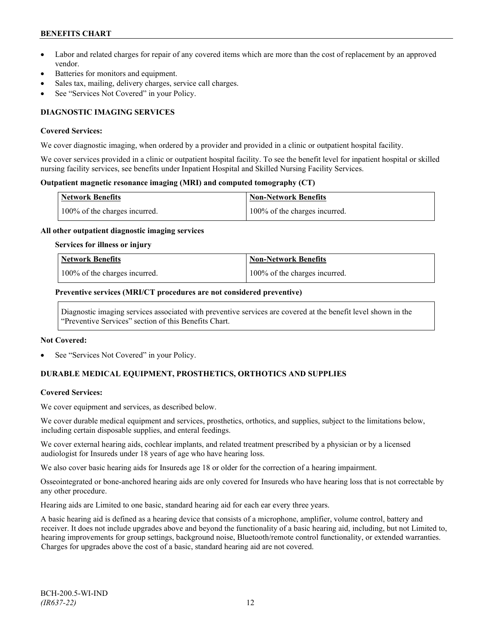- Labor and related charges for repair of any covered items which are more than the cost of replacement by an approved vendor.
- Batteries for monitors and equipment.
- Sales tax, mailing, delivery charges, service call charges.
- See "Services Not Covered" in your Policy.

# **DIAGNOSTIC IMAGING SERVICES**

#### **Covered Services:**

We cover diagnostic imaging, when ordered by a provider and provided in a clinic or outpatient hospital facility.

We cover services provided in a clinic or outpatient hospital facility. To see the benefit level for inpatient hospital or skilled nursing facility services, see benefits under Inpatient Hospital and Skilled Nursing Facility Services.

### **Outpatient magnetic resonance imaging (MRI) and computed tomography (CT)**

| <b>Network Benefits</b>       | <b>Non-Network Benefits</b>   |
|-------------------------------|-------------------------------|
| 100% of the charges incurred. | 100% of the charges incurred. |

#### **All other outpatient diagnostic imaging services**

#### **Services for illness or injury**

| <b>Network Benefits</b>       | <b>Non-Network Benefits</b>      |
|-------------------------------|----------------------------------|
| 100% of the charges incurred. | $100\%$ of the charges incurred. |

#### **Preventive services (MRI/CT procedures are not considered preventive)**

Diagnostic imaging services associated with preventive services are covered at the benefit level shown in the "Preventive Services" section of this Benefits Chart.

#### **Not Covered:**

See "Services Not Covered" in your Policy.

# **DURABLE MEDICAL EQUIPMENT, PROSTHETICS, ORTHOTICS AND SUPPLIES**

# **Covered Services:**

We cover equipment and services, as described below.

We cover durable medical equipment and services, prosthetics, orthotics, and supplies, subject to the limitations below, including certain disposable supplies, and enteral feedings.

We cover external hearing aids, cochlear implants, and related treatment prescribed by a physician or by a licensed audiologist for Insureds under 18 years of age who have hearing loss.

We also cover basic hearing aids for Insureds age 18 or older for the correction of a hearing impairment.

Osseointegrated or bone-anchored hearing aids are only covered for Insureds who have hearing loss that is not correctable by any other procedure.

Hearing aids are Limited to one basic, standard hearing aid for each ear every three years.

A basic hearing aid is defined as a hearing device that consists of a microphone, amplifier, volume control, battery and receiver. It does not include upgrades above and beyond the functionality of a basic hearing aid, including, but not Limited to, hearing improvements for group settings, background noise, Bluetooth/remote control functionality, or extended warranties. Charges for upgrades above the cost of a basic, standard hearing aid are not covered.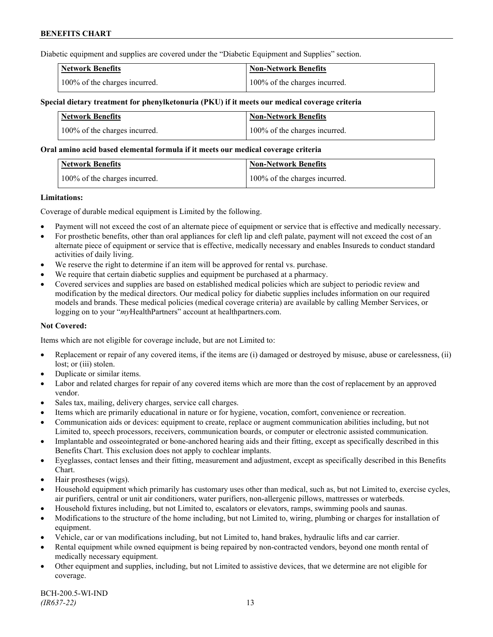Diabetic equipment and supplies are covered under the "Diabetic Equipment and Supplies" section.

| <b>Network Benefits</b>       | <b>Non-Network Benefits</b>   |
|-------------------------------|-------------------------------|
| 100% of the charges incurred. | 100% of the charges incurred. |

### **Special dietary treatment for phenylketonuria (PKU) if it meets our medical coverage criteria**

| <b>Network Benefits</b>       | <b>Non-Network Benefits</b>   |
|-------------------------------|-------------------------------|
| 100% of the charges incurred. | 100% of the charges incurred. |

#### **Oral amino acid based elemental formula if it meets our medical coverage criteria**

| Network Benefits              | <b>Non-Network Benefits</b>   |
|-------------------------------|-------------------------------|
| 100% of the charges incurred. | 100% of the charges incurred. |

#### **Limitations:**

Coverage of durable medical equipment is Limited by the following.

- Payment will not exceed the cost of an alternate piece of equipment or service that is effective and medically necessary.
- For prosthetic benefits, other than oral appliances for cleft lip and cleft palate, payment will not exceed the cost of an alternate piece of equipment or service that is effective, medically necessary and enables Insureds to conduct standard activities of daily living.
- We reserve the right to determine if an item will be approved for rental vs. purchase.
- We require that certain diabetic supplies and equipment be purchased at a pharmacy.
- Covered services and supplies are based on established medical policies which are subject to periodic review and modification by the medical directors. Our medical policy for diabetic supplies includes information on our required models and brands. These medical policies (medical coverage criteria) are available by calling Member Services, or logging on to your "*my*HealthPartners" account at [healthpartners.com.](http://www.healthpartners.com/)

# **Not Covered:**

Items which are not eligible for coverage include, but are not Limited to:

- Replacement or repair of any covered items, if the items are (i) damaged or destroyed by misuse, abuse or carelessness, (ii) lost; or (iii) stolen.
- Duplicate or similar items.
- Labor and related charges for repair of any covered items which are more than the cost of replacement by an approved vendor.
- Sales tax, mailing, delivery charges, service call charges.
- Items which are primarily educational in nature or for hygiene, vocation, comfort, convenience or recreation.
- Communication aids or devices: equipment to create, replace or augment communication abilities including, but not Limited to, speech processors, receivers, communication boards, or computer or electronic assisted communication.
- Implantable and osseointegrated or bone-anchored hearing aids and their fitting, except as specifically described in this Benefits Chart. This exclusion does not apply to cochlear implants.
- Eyeglasses, contact lenses and their fitting, measurement and adjustment, except as specifically described in this Benefits Chart.
- Hair prostheses (wigs).
- Household equipment which primarily has customary uses other than medical, such as, but not Limited to, exercise cycles, air purifiers, central or unit air conditioners, water purifiers, non-allergenic pillows, mattresses or waterbeds.
- Household fixtures including, but not Limited to, escalators or elevators, ramps, swimming pools and saunas.
- Modifications to the structure of the home including, but not Limited to, wiring, plumbing or charges for installation of equipment.
- Vehicle, car or van modifications including, but not Limited to, hand brakes, hydraulic lifts and car carrier.
- Rental equipment while owned equipment is being repaired by non-contracted vendors, beyond one month rental of medically necessary equipment.
- Other equipment and supplies, including, but not Limited to assistive devices, that we determine are not eligible for coverage.

BCH-200.5-WI-IND *(IR637-22)* 13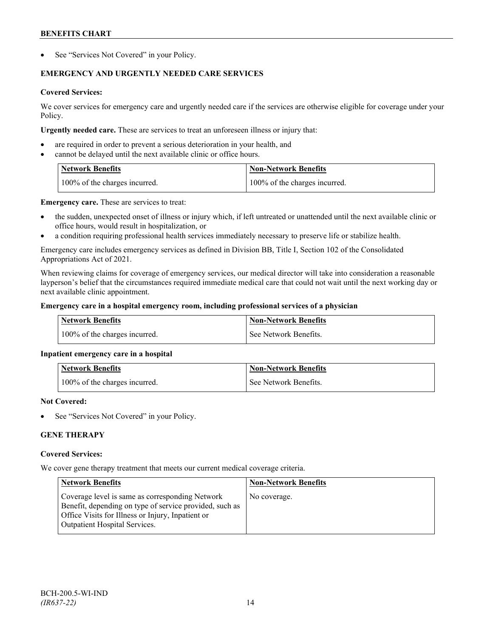See "Services Not Covered" in your Policy.

# **EMERGENCY AND URGENTLY NEEDED CARE SERVICES**

# **Covered Services:**

We cover services for emergency care and urgently needed care if the services are otherwise eligible for coverage under your Policy.

**Urgently needed care.** These are services to treat an unforeseen illness or injury that:

- are required in order to prevent a serious deterioration in your health, and
- cannot be delayed until the next available clinic or office hours.

| <b>Network Benefits</b>       | <b>Non-Network Benefits</b>   |
|-------------------------------|-------------------------------|
| 100% of the charges incurred. | 100% of the charges incurred. |

**Emergency care.** These are services to treat:

- the sudden, unexpected onset of illness or injury which, if left untreated or unattended until the next available clinic or office hours, would result in hospitalization, or
- a condition requiring professional health services immediately necessary to preserve life or stabilize health.

Emergency care includes emergency services as defined in Division BB, Title I, Section 102 of the Consolidated Appropriations Act of 2021.

When reviewing claims for coverage of emergency services, our medical director will take into consideration a reasonable layperson's belief that the circumstances required immediate medical care that could not wait until the next working day or next available clinic appointment.

# **Emergency care in a hospital emergency room, including professional services of a physician**

| <b>Network Benefits</b>       | Non-Network Benefits    |
|-------------------------------|-------------------------|
| 100% of the charges incurred. | l See Network Benefits. |

# **Inpatient emergency care in a hospital**

| <b>Network Benefits</b>       | <b>Non-Network Benefits</b> |
|-------------------------------|-----------------------------|
| 100% of the charges incurred. | See Network Benefits.       |

# **Not Covered:**

See "Services Not Covered" in your Policy.

# **GENE THERAPY**

# **Covered Services:**

We cover gene therapy treatment that meets our current medical coverage criteria.

| <b>Network Benefits</b>                                                                                                                                                                                 | <b>Non-Network Benefits</b> |
|---------------------------------------------------------------------------------------------------------------------------------------------------------------------------------------------------------|-----------------------------|
| Coverage level is same as corresponding Network<br>Benefit, depending on type of service provided, such as<br>Office Visits for Illness or Injury, Inpatient or<br><b>Outpatient Hospital Services.</b> | No coverage.                |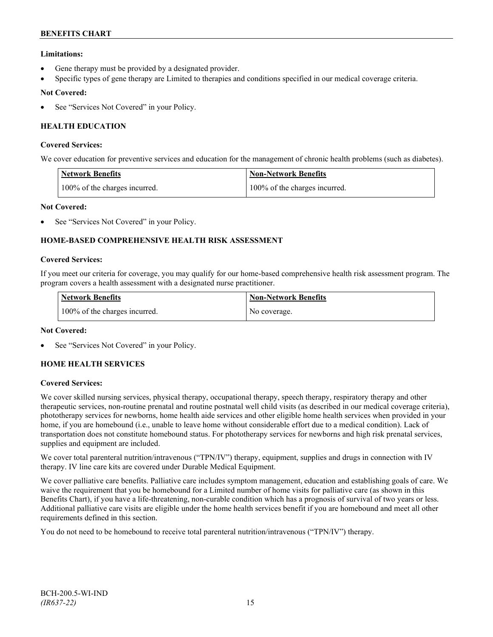# **Limitations:**

- Gene therapy must be provided by a designated provider.
- Specific types of gene therapy are Limited to therapies and conditions specified in our medical coverage criteria.

# **Not Covered:**

See "Services Not Covered" in your Policy.

# **HEALTH EDUCATION**

### **Covered Services:**

We cover education for preventive services and education for the management of chronic health problems (such as diabetes).

| <b>Network Benefits</b>       | <b>Non-Network Benefits</b>   |
|-------------------------------|-------------------------------|
| 100% of the charges incurred. | 100% of the charges incurred. |

# **Not Covered:**

See "Services Not Covered" in your Policy.

# **HOME-BASED COMPREHENSIVE HEALTH RISK ASSESSMENT**

#### **Covered Services:**

If you meet our criteria for coverage, you may qualify for our home-based comprehensive health risk assessment program. The program covers a health assessment with a designated nurse practitioner.

| <b>Network Benefits</b>       | <b>Non-Network Benefits</b> |
|-------------------------------|-----------------------------|
| 100% of the charges incurred. | No coverage.                |

# **Not Covered:**

See "Services Not Covered" in your Policy.

# **HOME HEALTH SERVICES**

# **Covered Services:**

We cover skilled nursing services, physical therapy, occupational therapy, speech therapy, respiratory therapy and other therapeutic services, non-routine prenatal and routine postnatal well child visits (as described in our medical coverage criteria), phototherapy services for newborns, home health aide services and other eligible home health services when provided in your home, if you are homebound (i.e., unable to leave home without considerable effort due to a medical condition). Lack of transportation does not constitute homebound status. For phototherapy services for newborns and high risk prenatal services, supplies and equipment are included.

We cover total parenteral nutrition/intravenous ("TPN/IV") therapy, equipment, supplies and drugs in connection with IV therapy. IV line care kits are covered under Durable Medical Equipment.

We cover palliative care benefits. Palliative care includes symptom management, education and establishing goals of care. We waive the requirement that you be homebound for a Limited number of home visits for palliative care (as shown in this Benefits Chart), if you have a life-threatening, non-curable condition which has a prognosis of survival of two years or less. Additional palliative care visits are eligible under the home health services benefit if you are homebound and meet all other requirements defined in this section.

You do not need to be homebound to receive total parenteral nutrition/intravenous ("TPN/IV") therapy.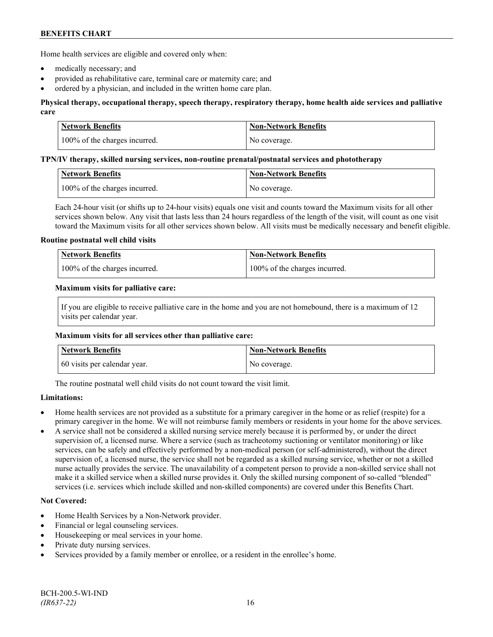Home health services are eligible and covered only when:

- medically necessary; and
- provided as rehabilitative care, terminal care or maternity care; and
- ordered by a physician, and included in the written home care plan.

# **Physical therapy, occupational therapy, speech therapy, respiratory therapy, home health aide services and palliative care**

| Network Benefits              | <b>Non-Network Benefits</b> |
|-------------------------------|-----------------------------|
| 100% of the charges incurred. | No coverage.                |

#### **TPN/IV therapy, skilled nursing services, non-routine prenatal/postnatal services and phototherapy**

| Network Benefits              | Non-Network Benefits |
|-------------------------------|----------------------|
| 100% of the charges incurred. | No coverage.         |

Each 24-hour visit (or shifts up to 24-hour visits) equals one visit and counts toward the Maximum visits for all other services shown below. Any visit that lasts less than 24 hours regardless of the length of the visit, will count as one visit toward the Maximum visits for all other services shown below. All visits must be medically necessary and benefit eligible.

#### **Routine postnatal well child visits**

| <b>Network Benefits</b>       | Non-Network Benefits          |
|-------------------------------|-------------------------------|
| 100% of the charges incurred. | 100% of the charges incurred. |

#### **Maximum visits for palliative care:**

If you are eligible to receive palliative care in the home and you are not homebound, there is a maximum of 12 visits per calendar year.

#### **Maximum visits for all services other than palliative care:**

| Network Benefits             | <b>Non-Network Benefits</b> |
|------------------------------|-----------------------------|
| 60 visits per calendar year. | No coverage.                |

The routine postnatal well child visits do not count toward the visit limit.

# **Limitations:**

- Home health services are not provided as a substitute for a primary caregiver in the home or as relief (respite) for a primary caregiver in the home. We will not reimburse family members or residents in your home for the above services.
- A service shall not be considered a skilled nursing service merely because it is performed by, or under the direct supervision of, a licensed nurse. Where a service (such as tracheotomy suctioning or ventilator monitoring) or like services, can be safely and effectively performed by a non-medical person (or self-administered), without the direct supervision of, a licensed nurse, the service shall not be regarded as a skilled nursing service, whether or not a skilled nurse actually provides the service. The unavailability of a competent person to provide a non-skilled service shall not make it a skilled service when a skilled nurse provides it. Only the skilled nursing component of so-called "blended" services (i.e. services which include skilled and non-skilled components) are covered under this Benefits Chart.

# **Not Covered:**

- Home Health Services by a Non-Network provider.
- Financial or legal counseling services.
- Housekeeping or meal services in your home.
- Private duty nursing services.
- Services provided by a family member or enrollee, or a resident in the enrollee's home.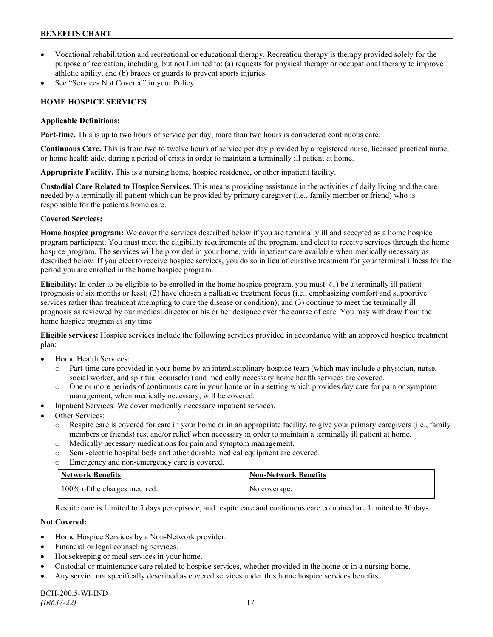- Vocational rehabilitation and recreational or educational therapy. Recreation therapy is therapy provided solely for the purpose of recreation, including, but not Limited to: (a) requests for physical therapy or occupational therapy to improve athletic ability, and (b) braces or guards to prevent sports injuries.
- See "Services Not Covered" in your Policy.

# **HOME HOSPICE SERVICES**

### **Applicable Definitions:**

**Part-time.** This is up to two hours of service per day, more than two hours is considered continuous care.

**Continuous Care.** This is from two to twelve hours of service per day provided by a registered nurse, licensed practical nurse, or home health aide, during a period of crisis in order to maintain a terminally ill patient at home.

**Appropriate Facility.** This is a nursing home, hospice residence, or other inpatient facility.

**Custodial Care Related to Hospice Services.** This means providing assistance in the activities of daily living and the care needed by a terminally ill patient which can be provided by primary caregiver (i.e., family member or friend) who is responsible for the patient's home care.

# **Covered Services:**

**Home hospice program:** We cover the services described below if you are terminally ill and accepted as a home hospice program participant. You must meet the eligibility requirements of the program, and elect to receive services through the home hospice program. The services will be provided in your home, with inpatient care available when medically necessary as described below. If you elect to receive hospice services, you do so in lieu of curative treatment for your terminal illness for the period you are enrolled in the home hospice program.

**Eligibility:** In order to be eligible to be enrolled in the home hospice program, you must: (1) be a terminally ill patient (prognosis of six months or less); (2) have chosen a palliative treatment focus (i.e., emphasizing comfort and supportive services rather than treatment attempting to cure the disease or condition); and (3) continue to meet the terminally ill prognosis as reviewed by our medical director or his or her designee over the course of care. You may withdraw from the home hospice program at any time.

**Eligible services:** Hospice services include the following services provided in accordance with an approved hospice treatment plan:

- Home Health Services:
	- o Part-time care provided in your home by an interdisciplinary hospice team (which may include a physician, nurse, social worker, and spiritual counselor) and medically necessary home health services are covered.
	- o One or more periods of continuous care in your home or in a setting which provides day care for pain or symptom management, when medically necessary, will be covered.
- Inpatient Services: We cover medically necessary inpatient services.
- Other Services:
	- o Respite care is covered for care in your home or in an appropriate facility, to give your primary caregivers (i.e., family members or friends) rest and/or relief when necessary in order to maintain a terminally ill patient at home*.*
	- o Medically necessary medications for pain and symptom management.
	- o Semi-electric hospital beds and other durable medical equipment are covered.
	- o Emergency and non-emergency care is covered.

| <b>Network Benefits</b>       | <b>Non-Network Benefits</b> |
|-------------------------------|-----------------------------|
| 100% of the charges incurred. | No coverage.                |

Respite care is Limited to 5 days per episode, and respite care and continuous care combined are Limited to 30 days.

# **Not Covered:**

- Home Hospice Services by a Non-Network provider.
- Financial or legal counseling services.
- Housekeeping or meal services in your home.
- Custodial or maintenance care related to hospice services, whether provided in the home or in a nursing home.
- Any service not specifically described as covered services under this home hospice services benefits.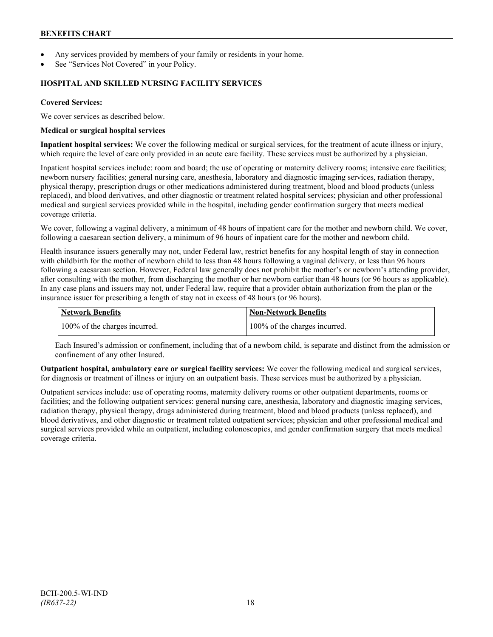- Any services provided by members of your family or residents in your home.
- See "Services Not Covered" in your Policy.

### **HOSPITAL AND SKILLED NURSING FACILITY SERVICES**

### **Covered Services:**

We cover services as described below.

#### **Medical or surgical hospital services**

**Inpatient hospital services:** We cover the following medical or surgical services, for the treatment of acute illness or injury, which require the level of care only provided in an acute care facility. These services must be authorized by a physician.

Inpatient hospital services include: room and board; the use of operating or maternity delivery rooms; intensive care facilities; newborn nursery facilities; general nursing care, anesthesia, laboratory and diagnostic imaging services, radiation therapy, physical therapy, prescription drugs or other medications administered during treatment, blood and blood products (unless replaced), and blood derivatives, and other diagnostic or treatment related hospital services; physician and other professional medical and surgical services provided while in the hospital, including gender confirmation surgery that meets medical coverage criteria.

We cover, following a vaginal delivery, a minimum of 48 hours of inpatient care for the mother and newborn child. We cover, following a caesarean section delivery, a minimum of 96 hours of inpatient care for the mother and newborn child.

Health insurance issuers generally may not, under Federal law, restrict benefits for any hospital length of stay in connection with childbirth for the mother of newborn child to less than 48 hours following a vaginal delivery, or less than 96 hours following a caesarean section. However, Federal law generally does not prohibit the mother's or newborn's attending provider, after consulting with the mother, from discharging the mother or her newborn earlier than 48 hours (or 96 hours as applicable). In any case plans and issuers may not, under Federal law, require that a provider obtain authorization from the plan or the insurance issuer for prescribing a length of stay not in excess of 48 hours (or 96 hours).

| <b>Network Benefits</b>       | Non-Network Benefits          |
|-------------------------------|-------------------------------|
| 100% of the charges incurred. | 100% of the charges incurred. |

Each Insured's admission or confinement, including that of a newborn child, is separate and distinct from the admission or confinement of any other Insured.

**Outpatient hospital, ambulatory care or surgical facility services:** We cover the following medical and surgical services, for diagnosis or treatment of illness or injury on an outpatient basis. These services must be authorized by a physician.

Outpatient services include: use of operating rooms, maternity delivery rooms or other outpatient departments, rooms or facilities; and the following outpatient services: general nursing care, anesthesia, laboratory and diagnostic imaging services, radiation therapy, physical therapy, drugs administered during treatment, blood and blood products (unless replaced), and blood derivatives, and other diagnostic or treatment related outpatient services; physician and other professional medical and surgical services provided while an outpatient, including colonoscopies, and gender confirmation surgery that meets medical coverage criteria.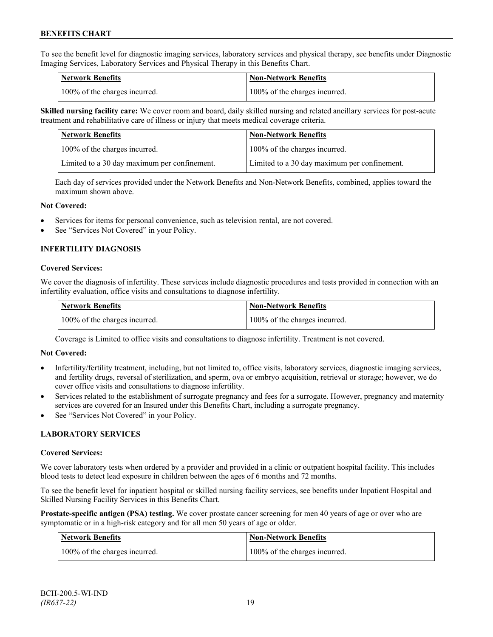To see the benefit level for diagnostic imaging services, laboratory services and physical therapy, see benefits under Diagnostic Imaging Services, Laboratory Services and Physical Therapy in this Benefits Chart.

| <b>Network Benefits</b>       | <b>Non-Network Benefits</b>   |
|-------------------------------|-------------------------------|
| 100% of the charges incurred. | 100% of the charges incurred. |

**Skilled nursing facility care:** We cover room and board, daily skilled nursing and related ancillary services for post-acute treatment and rehabilitative care of illness or injury that meets medical coverage criteria.

| Network Benefits                             | <b>Non-Network Benefits</b>                  |
|----------------------------------------------|----------------------------------------------|
| 100% of the charges incurred.                | 100% of the charges incurred.                |
| Limited to a 30 day maximum per confinement. | Limited to a 30 day maximum per confinement. |

Each day of services provided under the Network Benefits and Non-Network Benefits, combined, applies toward the maximum shown above.

#### **Not Covered:**

- Services for items for personal convenience, such as television rental, are not covered.
- See "Services Not Covered" in your Policy.

# **INFERTILITY DIAGNOSIS**

#### **Covered Services:**

We cover the diagnosis of infertility. These services include diagnostic procedures and tests provided in connection with an infertility evaluation, office visits and consultations to diagnose infertility.

| <b>Network Benefits</b>       | Non-Network Benefits          |
|-------------------------------|-------------------------------|
| 100% of the charges incurred. | 100% of the charges incurred. |

Coverage is Limited to office visits and consultations to diagnose infertility. Treatment is not covered.

#### **Not Covered:**

- Infertility/fertility treatment, including, but not limited to, office visits, laboratory services, diagnostic imaging services, and fertility drugs, reversal of sterilization, and sperm, ova or embryo acquisition, retrieval or storage; however, we do cover office visits and consultations to diagnose infertility.
- Services related to the establishment of surrogate pregnancy and fees for a surrogate. However, pregnancy and maternity services are covered for an Insured under this Benefits Chart, including a surrogate pregnancy.
- See "Services Not Covered" in your Policy.

# **LABORATORY SERVICES**

#### **Covered Services:**

We cover laboratory tests when ordered by a provider and provided in a clinic or outpatient hospital facility. This includes blood tests to detect lead exposure in children between the ages of 6 months and 72 months.

To see the benefit level for inpatient hospital or skilled nursing facility services, see benefits under Inpatient Hospital and Skilled Nursing Facility Services in this Benefits Chart.

**Prostate-specific antigen (PSA) testing.** We cover prostate cancer screening for men 40 years of age or over who are symptomatic or in a high-risk category and for all men 50 years of age or older.

| <b>Network Benefits</b>       | <b>Non-Network Benefits</b>   |
|-------------------------------|-------------------------------|
| 100% of the charges incurred. | 100% of the charges incurred. |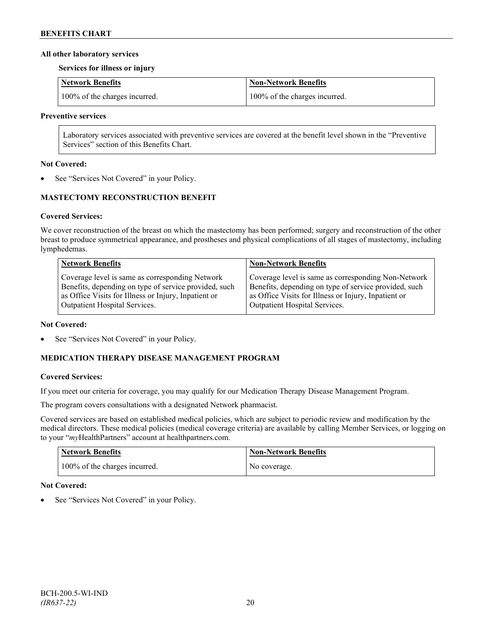### **All other laboratory services**

**Services for illness or injury**

| Network Benefits              | Non-Network Benefits          |
|-------------------------------|-------------------------------|
| 100% of the charges incurred. | 100% of the charges incurred. |

#### **Preventive services**

Laboratory services associated with preventive services are covered at the benefit level shown in the "Preventive Services" section of this Benefits Chart.

#### **Not Covered:**

See "Services Not Covered" in your Policy.

# **MASTECTOMY RECONSTRUCTION BENEFIT**

# **Covered Services:**

We cover reconstruction of the breast on which the mastectomy has been performed; surgery and reconstruction of the other breast to produce symmetrical appearance, and prostheses and physical complications of all stages of mastectomy, including lymphedemas.

| <b>Network Benefits</b>                               | <b>Non-Network Benefits</b>                           |
|-------------------------------------------------------|-------------------------------------------------------|
| Coverage level is same as corresponding Network       | Coverage level is same as corresponding Non-Network   |
| Benefits, depending on type of service provided, such | Benefits, depending on type of service provided, such |
| as Office Visits for Illness or Injury, Inpatient or  | as Office Visits for Illness or Injury, Inpatient or  |
| Outpatient Hospital Services.                         | Outpatient Hospital Services.                         |

#### **Not Covered:**

See "Services Not Covered" in your Policy.

# **MEDICATION THERAPY DISEASE MANAGEMENT PROGRAM**

# **Covered Services:**

If you meet our criteria for coverage, you may qualify for our Medication Therapy Disease Management Program.

The program covers consultations with a designated Network pharmacist.

Covered services are based on established medical policies, which are subject to periodic review and modification by the medical directors. These medical policies (medical coverage criteria) are available by calling Member Services, or logging on to your "*my*HealthPartners" account at [healthpartners.com.](http://www.healthpartners.com/)

| <b>Network Benefits</b>       | <b>Non-Network Benefits</b> |
|-------------------------------|-----------------------------|
| 100% of the charges incurred. | No coverage.                |

# **Not Covered:**

See "Services Not Covered" in your Policy.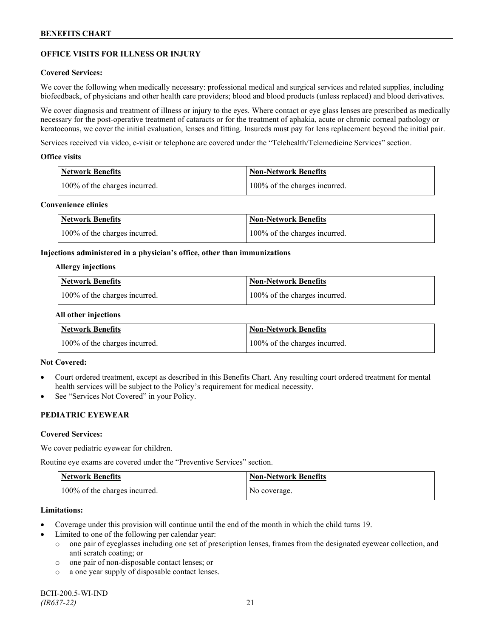# **OFFICE VISITS FOR ILLNESS OR INJURY**

### **Covered Services:**

We cover the following when medically necessary: professional medical and surgical services and related supplies, including biofeedback, of physicians and other health care providers; blood and blood products (unless replaced) and blood derivatives.

We cover diagnosis and treatment of illness or injury to the eyes. Where contact or eye glass lenses are prescribed as medically necessary for the post-operative treatment of cataracts or for the treatment of aphakia, acute or chronic corneal pathology or keratoconus, we cover the initial evaluation, lenses and fitting. Insureds must pay for lens replacement beyond the initial pair.

Services received via video, e-visit or telephone are covered under the "Telehealth/Telemedicine Services" section.

#### **Office visits**

| Network Benefits              | <b>Non-Network Benefits</b>   |
|-------------------------------|-------------------------------|
| 100% of the charges incurred. | 100% of the charges incurred. |

### **Convenience clinics**

| <b>Network Benefits</b>       | <b>Non-Network Benefits</b>   |
|-------------------------------|-------------------------------|
| 100% of the charges incurred. | 100% of the charges incurred. |

#### **Injections administered in a physician's office, other than immunizations**

#### **Allergy injections**

| <b>Network Benefits</b>       | Non-Network Benefits          |
|-------------------------------|-------------------------------|
| 100% of the charges incurred. | 100% of the charges incurred. |

#### **All other injections**

| <b>Network Benefits</b>       | <b>Non-Network Benefits</b>   |
|-------------------------------|-------------------------------|
| 100% of the charges incurred. | 100% of the charges incurred. |

# **Not Covered:**

- Court ordered treatment, except as described in this Benefits Chart. Any resulting court ordered treatment for mental health services will be subject to the Policy's requirement for medical necessity.
- See "Services Not Covered" in your Policy.

# **PEDIATRIC EYEWEAR**

#### **Covered Services:**

We cover pediatric eyewear for children.

Routine eye exams are covered under the "Preventive Services" section.

| <b>Network Benefits</b>       | <b>Non-Network Benefits</b> |
|-------------------------------|-----------------------------|
| 100% of the charges incurred. | No coverage.                |

#### **Limitations:**

- Coverage under this provision will continue until the end of the month in which the child turns 19.
- Limited to one of the following per calendar year:
	- o one pair of eyeglasses including one set of prescription lenses, frames from the designated eyewear collection, and anti scratch coating; or
	- o one pair of non-disposable contact lenses; or
	- o a one year supply of disposable contact lenses.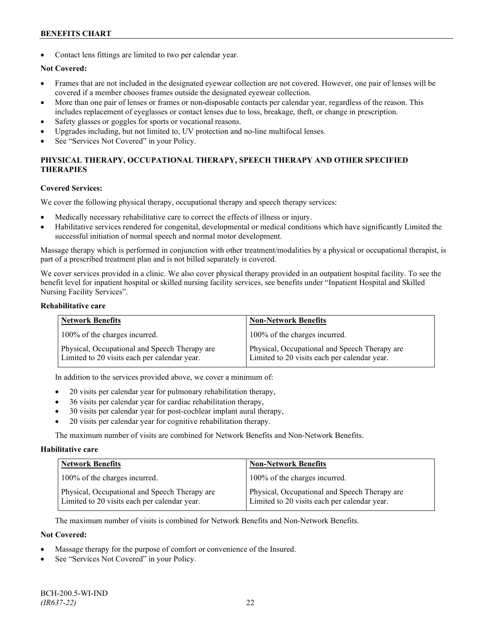Contact lens fittings are limited to two per calendar year.

# **Not Covered:**

- Frames that are not included in the designated eyewear collection are not covered. However, one pair of lenses will be covered if a member chooses frames outside the designated eyewear collection.
- More than one pair of lenses or frames or non-disposable contacts per calendar year, regardless of the reason. This includes replacement of eyeglasses or contact lenses due to loss, breakage, theft, or change in prescription.
- Safety glasses or goggles for sports or vocational reasons.
- Upgrades including, but not limited to, UV protection and no-line multifocal lenses.
- See "Services Not Covered" in your Policy.

# **PHYSICAL THERAPY, OCCUPATIONAL THERAPY, SPEECH THERAPY AND OTHER SPECIFIED THERAPIES**

#### **Covered Services:**

We cover the following physical therapy, occupational therapy and speech therapy services:

- Medically necessary rehabilitative care to correct the effects of illness or injury.
- Habilitative services rendered for congenital, developmental or medical conditions which have significantly Limited the successful initiation of normal speech and normal motor development.

Massage therapy which is performed in conjunction with other treatment/modalities by a physical or occupational therapist, is part of a prescribed treatment plan and is not billed separately is covered.

We cover services provided in a clinic. We also cover physical therapy provided in an outpatient hospital facility. To see the benefit level for inpatient hospital or skilled nursing facility services, see benefits under "Inpatient Hospital and Skilled Nursing Facility Services".

#### **Rehabilitative care**

| <b>Network Benefits</b>                                                                       | <b>Non-Network Benefits</b>                                                                   |
|-----------------------------------------------------------------------------------------------|-----------------------------------------------------------------------------------------------|
| 100% of the charges incurred.                                                                 | 100% of the charges incurred.                                                                 |
| Physical, Occupational and Speech Therapy are<br>Limited to 20 visits each per calendar year. | Physical, Occupational and Speech Therapy are<br>Limited to 20 visits each per calendar year. |

In addition to the services provided above, we cover a minimum of:

- 20 visits per calendar year for pulmonary rehabilitation therapy,
- 36 visits per calendar year for cardiac rehabilitation therapy,
- 30 visits per calendar year for post-cochlear implant aural therapy,
- 20 visits per calendar year for cognitive rehabilitation therapy.

The maximum number of visits are combined for Network Benefits and Non-Network Benefits.

#### **Habilitative care**

| <b>Network Benefits</b>                                                                       | <b>Non-Network Benefits</b>                                                                   |
|-----------------------------------------------------------------------------------------------|-----------------------------------------------------------------------------------------------|
| 100% of the charges incurred.                                                                 | 100% of the charges incurred.                                                                 |
| Physical, Occupational and Speech Therapy are<br>Limited to 20 visits each per calendar year. | Physical, Occupational and Speech Therapy are<br>Limited to 20 visits each per calendar year. |

The maximum number of visits is combined for Network Benefits and Non-Network Benefits.

#### **Not Covered:**

- Massage therapy for the purpose of comfort or convenience of the Insured.
- See "Services Not Covered" in your Policy.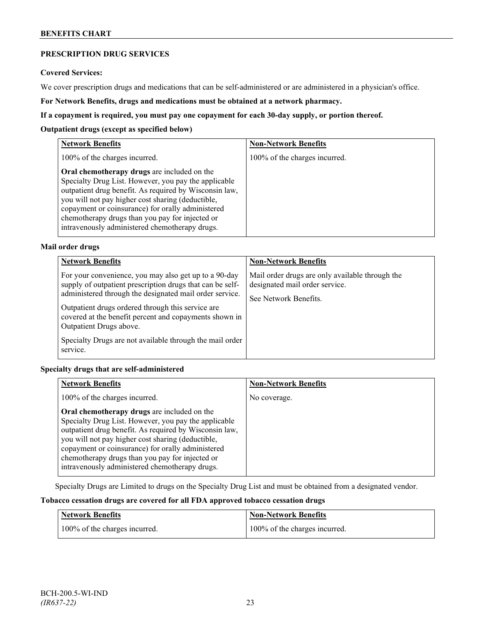# **PRESCRIPTION DRUG SERVICES**

#### **Covered Services:**

We cover prescription drugs and medications that can be self-administered or are administered in a physician's office.

**For Network Benefits, drugs and medications must be obtained at a network pharmacy.**

### **If a copayment is required, you must pay one copayment for each 30-day supply, or portion thereof.**

### **Outpatient drugs (except as specified below)**

| <b>Network Benefits</b>                                                                                                                                                                                                                                                                                                                                                      | <b>Non-Network Benefits</b>   |
|------------------------------------------------------------------------------------------------------------------------------------------------------------------------------------------------------------------------------------------------------------------------------------------------------------------------------------------------------------------------------|-------------------------------|
| 100% of the charges incurred.                                                                                                                                                                                                                                                                                                                                                | 100% of the charges incurred. |
| Oral chemotherapy drugs are included on the<br>Specialty Drug List. However, you pay the applicable<br>outpatient drug benefit. As required by Wisconsin law,<br>you will not pay higher cost sharing (deductible,<br>copayment or coinsurance) for orally administered<br>chemotherapy drugs than you pay for injected or<br>intravenously administered chemotherapy drugs. |                               |

# **Mail order drugs**

| <b>Network Benefits</b>                                                                                                                                                                                                                                                                                                                                                                         | <b>Non-Network Benefits</b>                                                                                |
|-------------------------------------------------------------------------------------------------------------------------------------------------------------------------------------------------------------------------------------------------------------------------------------------------------------------------------------------------------------------------------------------------|------------------------------------------------------------------------------------------------------------|
| For your convenience, you may also get up to a 90-day<br>supply of outpatient prescription drugs that can be self-<br>administered through the designated mail order service.<br>Outpatient drugs ordered through this service are<br>covered at the benefit percent and copayments shown in<br>Outpatient Drugs above.<br>Specialty Drugs are not available through the mail order<br>service. | Mail order drugs are only available through the<br>designated mail order service.<br>See Network Benefits. |

# **Specialty drugs that are self-administered**

| <b>Network Benefits</b>                                                                                                                                                                                                                                                                                                                                                      | <b>Non-Network Benefits</b> |
|------------------------------------------------------------------------------------------------------------------------------------------------------------------------------------------------------------------------------------------------------------------------------------------------------------------------------------------------------------------------------|-----------------------------|
| 100% of the charges incurred.                                                                                                                                                                                                                                                                                                                                                | No coverage.                |
| Oral chemotherapy drugs are included on the<br>Specialty Drug List. However, you pay the applicable<br>outpatient drug benefit. As required by Wisconsin law,<br>you will not pay higher cost sharing (deductible,<br>copayment or coinsurance) for orally administered<br>chemotherapy drugs than you pay for injected or<br>intravenously administered chemotherapy drugs. |                             |

Specialty Drugs are Limited to drugs on the Specialty Drug List and must be obtained from a designated vendor.

# **Tobacco cessation drugs are covered for all FDA approved tobacco cessation drugs**

| Network Benefits              | <b>Non-Network Benefits</b>   |
|-------------------------------|-------------------------------|
| 100% of the charges incurred. | 100% of the charges incurred. |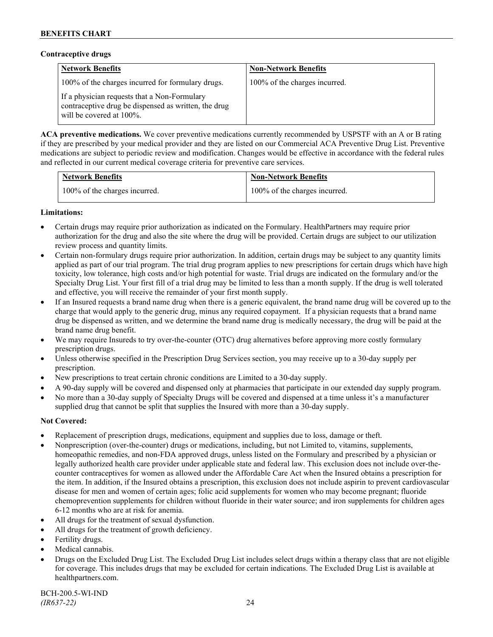### **Contraceptive drugs**

| <b>Network Benefits</b>                                                                                                              | <b>Non-Network Benefits</b>   |
|--------------------------------------------------------------------------------------------------------------------------------------|-------------------------------|
| 100% of the charges incurred for formulary drugs.                                                                                    | 100% of the charges incurred. |
| If a physician requests that a Non-Formulary<br>contraceptive drug be dispensed as written, the drug<br>will be covered at $100\%$ . |                               |

**ACA preventive medications.** We cover preventive medications currently recommended by USPSTF with an A or B rating if they are prescribed by your medical provider and they are listed on our Commercial ACA Preventive Drug List. Preventive medications are subject to periodic review and modification. Changes would be effective in accordance with the federal rules and reflected in our current medical coverage criteria for preventive care services.

| <b>Network Benefits</b>       | <b>Non-Network Benefits</b>   |
|-------------------------------|-------------------------------|
| 100% of the charges incurred. | 100% of the charges incurred. |

# **Limitations:**

- Certain drugs may require prior authorization as indicated on the Formulary. HealthPartners may require prior authorization for the drug and also the site where the drug will be provided. Certain drugs are subject to our utilization review process and quantity limits.
- Certain non-formulary drugs require prior authorization. In addition, certain drugs may be subject to any quantity limits applied as part of our trial program. The trial drug program applies to new prescriptions for certain drugs which have high toxicity, low tolerance, high costs and/or high potential for waste. Trial drugs are indicated on the formulary and/or the Specialty Drug List. Your first fill of a trial drug may be limited to less than a month supply. If the drug is well tolerated and effective, you will receive the remainder of your first month supply.
- If an Insured requests a brand name drug when there is a generic equivalent, the brand name drug will be covered up to the charge that would apply to the generic drug, minus any required copayment. If a physician requests that a brand name drug be dispensed as written, and we determine the brand name drug is medically necessary, the drug will be paid at the brand name drug benefit.
- We may require Insureds to try over-the-counter (OTC) drug alternatives before approving more costly formulary prescription drugs.
- Unless otherwise specified in the Prescription Drug Services section, you may receive up to a 30-day supply per prescription.
- New prescriptions to treat certain chronic conditions are Limited to a 30-day supply.
- A 90-day supply will be covered and dispensed only at pharmacies that participate in our extended day supply program.
- No more than a 30-day supply of Specialty Drugs will be covered and dispensed at a time unless it's a manufacturer supplied drug that cannot be split that supplies the Insured with more than a 30-day supply.

# **Not Covered:**

- Replacement of prescription drugs, medications, equipment and supplies due to loss, damage or theft.
- Nonprescription (over-the-counter) drugs or medications, including, but not Limited to, vitamins, supplements, homeopathic remedies, and non-FDA approved drugs, unless listed on the Formulary and prescribed by a physician or legally authorized health care provider under applicable state and federal law. This exclusion does not include over-thecounter contraceptives for women as allowed under the Affordable Care Act when the Insured obtains a prescription for the item. In addition, if the Insured obtains a prescription, this exclusion does not include aspirin to prevent cardiovascular disease for men and women of certain ages; folic acid supplements for women who may become pregnant; fluoride chemoprevention supplements for children without fluoride in their water source; and iron supplements for children ages 6-12 months who are at risk for anemia.
- All drugs for the treatment of sexual dysfunction.
- All drugs for the treatment of growth deficiency.
- Fertility drugs.
- Medical cannabis.
- Drugs on the Excluded Drug List. The Excluded Drug List includes select drugs within a therapy class that are not eligible for coverage. This includes drugs that may be excluded for certain indications. The Excluded Drug List is available at [healthpartners.com.](http://www.healthpartners.com/)

BCH-200.5-WI-IND *(IR637-22)* 24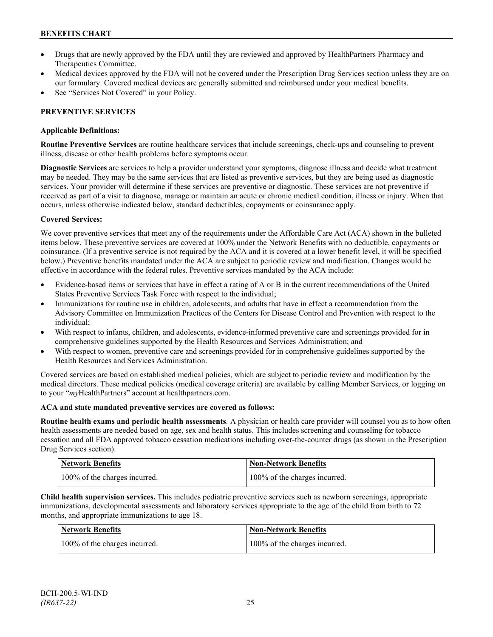- Drugs that are newly approved by the FDA until they are reviewed and approved by HealthPartners Pharmacy and Therapeutics Committee.
- Medical devices approved by the FDA will not be covered under the Prescription Drug Services section unless they are on our formulary. Covered medical devices are generally submitted and reimbursed under your medical benefits.
- See "Services Not Covered" in your Policy.

# **PREVENTIVE SERVICES**

# **Applicable Definitions:**

**Routine Preventive Services** are routine healthcare services that include screenings, check-ups and counseling to prevent illness, disease or other health problems before symptoms occur.

**Diagnostic Services** are services to help a provider understand your symptoms, diagnose illness and decide what treatment may be needed. They may be the same services that are listed as preventive services, but they are being used as diagnostic services. Your provider will determine if these services are preventive or diagnostic. These services are not preventive if received as part of a visit to diagnose, manage or maintain an acute or chronic medical condition, illness or injury. When that occurs, unless otherwise indicated below, standard deductibles, copayments or coinsurance apply.

# **Covered Services:**

We cover preventive services that meet any of the requirements under the Affordable Care Act (ACA) shown in the bulleted items below. These preventive services are covered at 100% under the Network Benefits with no deductible, copayments or coinsurance. (If a preventive service is not required by the ACA and it is covered at a lower benefit level, it will be specified below.) Preventive benefits mandated under the ACA are subject to periodic review and modification. Changes would be effective in accordance with the federal rules. Preventive services mandated by the ACA include:

- Evidence-based items or services that have in effect a rating of A or B in the current recommendations of the United States Preventive Services Task Force with respect to the individual;
- Immunizations for routine use in children, adolescents, and adults that have in effect a recommendation from the Advisory Committee on Immunization Practices of the Centers for Disease Control and Prevention with respect to the individual;
- With respect to infants, children, and adolescents, evidence-informed preventive care and screenings provided for in comprehensive guidelines supported by the Health Resources and Services Administration; and
- With respect to women, preventive care and screenings provided for in comprehensive guidelines supported by the Health Resources and Services Administration.

Covered services are based on established medical policies, which are subject to periodic review and modification by the medical directors. These medical policies (medical coverage criteria) are available by calling Member Services, or logging on to your "*my*HealthPartners" account at [healthpartners.com.](http://www.healthpartners.com/)

# **ACA and state mandated preventive services are covered as follows:**

**Routine health exams and periodic health assessments**. A physician or health care provider will counsel you as to how often health assessments are needed based on age, sex and health status. This includes screening and counseling for tobacco cessation and all FDA approved tobacco cessation medications including over-the-counter drugs (as shown in the Prescription Drug Services section).

| <b>Network Benefits</b>       | Non-Network Benefits          |
|-------------------------------|-------------------------------|
| 100% of the charges incurred. | 100% of the charges incurred. |

**Child health supervision services.** This includes pediatric preventive services such as newborn screenings, appropriate immunizations, developmental assessments and laboratory services appropriate to the age of the child from birth to 72 months, and appropriate immunizations to age 18.

| <b>Network Benefits</b>       | <b>Non-Network Benefits</b>   |
|-------------------------------|-------------------------------|
| 100% of the charges incurred. | 100% of the charges incurred. |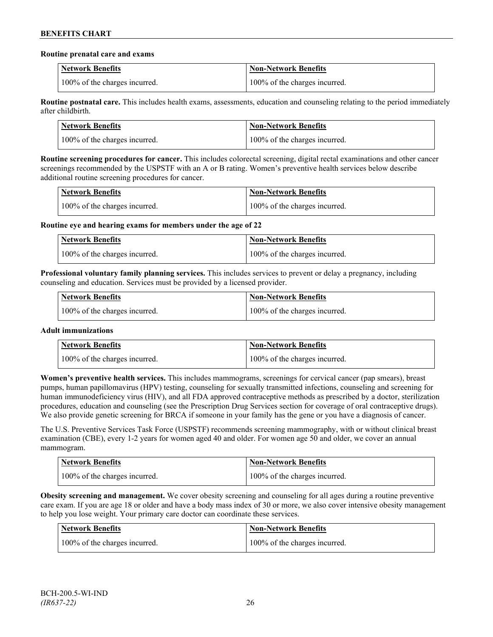#### **Routine prenatal care and exams**

| <b>Network Benefits</b>       | <b>Non-Network Benefits</b>   |
|-------------------------------|-------------------------------|
| 100% of the charges incurred. | 100% of the charges incurred. |

**Routine postnatal care.** This includes health exams, assessments, education and counseling relating to the period immediately after childbirth.

| <b>Network Benefits</b>       | <b>Non-Network Benefits</b>   |
|-------------------------------|-------------------------------|
| 100% of the charges incurred. | 100% of the charges incurred. |

**Routine screening procedures for cancer.** This includes colorectal screening, digital rectal examinations and other cancer screenings recommended by the USPSTF with an A or B rating. Women's preventive health services below describe additional routine screening procedures for cancer.

| Network Benefits              | <b>Non-Network Benefits</b>   |
|-------------------------------|-------------------------------|
| 100% of the charges incurred. | 100% of the charges incurred. |

**Routine eye and hearing exams for members under the age of 22**

| <b>Network Benefits</b>       | <b>Non-Network Benefits</b>   |
|-------------------------------|-------------------------------|
| 100% of the charges incurred. | 100% of the charges incurred. |

**Professional voluntary family planning services.** This includes services to prevent or delay a pregnancy, including counseling and education. Services must be provided by a licensed provider.

| Network Benefits              | <b>Non-Network Benefits</b>   |
|-------------------------------|-------------------------------|
| 100% of the charges incurred. | 100% of the charges incurred. |

# **Adult immunizations**

| <b>Network Benefits</b>       | <b>Non-Network Benefits</b>   |
|-------------------------------|-------------------------------|
| 100% of the charges incurred. | 100% of the charges incurred. |

**Women's preventive health services.** This includes mammograms, screenings for cervical cancer (pap smears), breast pumps, human papillomavirus (HPV) testing, counseling for sexually transmitted infections, counseling and screening for human immunodeficiency virus (HIV), and all FDA approved contraceptive methods as prescribed by a doctor, sterilization procedures, education and counseling (see the Prescription Drug Services section for coverage of oral contraceptive drugs). We also provide genetic screening for BRCA if someone in your family has the gene or you have a diagnosis of cancer.

The U.S. Preventive Services Task Force (USPSTF) recommends screening mammography, with or without clinical breast examination (CBE), every 1-2 years for women aged 40 and older. For women age 50 and older, we cover an annual mammogram.

| <b>Network Benefits</b>       | Non-Network Benefits          |
|-------------------------------|-------------------------------|
| 100% of the charges incurred. | 100% of the charges incurred. |

**Obesity screening and management.** We cover obesity screening and counseling for all ages during a routine preventive care exam. If you are age 18 or older and have a body mass index of 30 or more, we also cover intensive obesity management to help you lose weight. Your primary care doctor can coordinate these services.

| Network Benefits              | <b>Non-Network Benefits</b>   |
|-------------------------------|-------------------------------|
| 100% of the charges incurred. | 100% of the charges incurred. |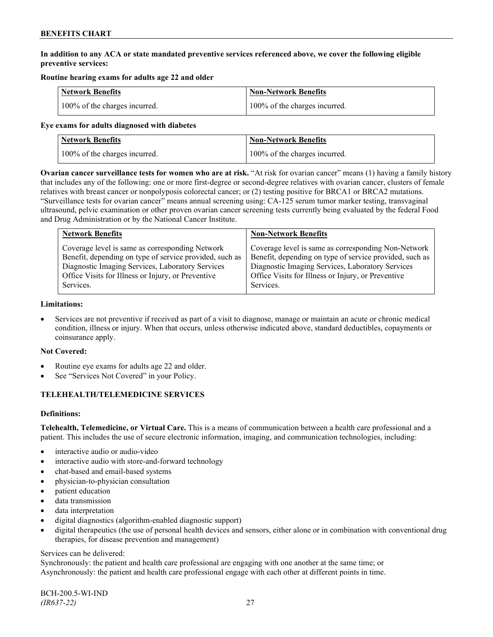# **In addition to any ACA or state mandated preventive services referenced above, we cover the following eligible preventive services:**

# **Routine hearing exams for adults age 22 and older**

| <b>Network Benefits</b>       | <b>Non-Network Benefits</b>   |
|-------------------------------|-------------------------------|
| 100% of the charges incurred. | 100% of the charges incurred. |

#### **Eye exams for adults diagnosed with diabetes**

| <b>Network Benefits</b>       | Non-Network Benefits          |
|-------------------------------|-------------------------------|
| 100% of the charges incurred. | 100% of the charges incurred. |

**Ovarian cancer surveillance tests for women who are at risk.** "At risk for ovarian cancer" means (1) having a family history that includes any of the following: one or more first-degree or second-degree relatives with ovarian cancer, clusters of female relatives with breast cancer or nonpolyposis colorectal cancer; or (2) testing positive for BRCA1 or BRCA2 mutations. "Surveillance tests for ovarian cancer" means annual screening using: CA-125 serum tumor marker testing, transvaginal ultrasound, pelvic examination or other proven ovarian cancer screening tests currently being evaluated by the federal Food and Drug Administration or by the National Cancer Institute.

| <b>Network Benefits</b>                                 | <b>Non-Network Benefits</b>                             |
|---------------------------------------------------------|---------------------------------------------------------|
| Coverage level is same as corresponding Network         | Coverage level is same as corresponding Non-Network     |
| Benefit, depending on type of service provided, such as | Benefit, depending on type of service provided, such as |
| Diagnostic Imaging Services, Laboratory Services        | Diagnostic Imaging Services, Laboratory Services        |
| Office Visits for Illness or Injury, or Preventive      | Office Visits for Illness or Injury, or Preventive      |
| Services.                                               | Services.                                               |

#### **Limitations:**

• Services are not preventive if received as part of a visit to diagnose, manage or maintain an acute or chronic medical condition, illness or injury. When that occurs, unless otherwise indicated above, standard deductibles, copayments or coinsurance apply.

# **Not Covered:**

- Routine eye exams for adults age 22 and older.
- See "Services Not Covered" in your Policy.

# **TELEHEALTH/TELEMEDICINE SERVICES**

# **Definitions:**

**Telehealth, Telemedicine, or Virtual Care.** This is a means of communication between a health care professional and a patient. This includes the use of secure electronic information, imaging, and communication technologies, including:

- interactive audio or audio-video
- interactive audio with store-and-forward technology
- chat-based and email-based systems
- physician-to-physician consultation
- patient education
- data transmission
- data interpretation
- digital diagnostics (algorithm-enabled diagnostic support)
- digital therapeutics (the use of personal health devices and sensors, either alone or in combination with conventional drug therapies, for disease prevention and management)

#### Services can be delivered:

Synchronously: the patient and health care professional are engaging with one another at the same time; or Asynchronously: the patient and health care professional engage with each other at different points in time.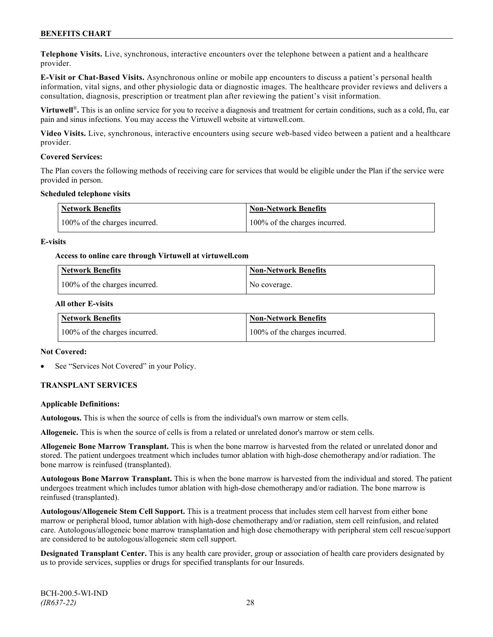**Telephone Visits.** Live, synchronous, interactive encounters over the telephone between a patient and a healthcare provider.

**E-Visit or Chat-Based Visits.** Asynchronous online or mobile app encounters to discuss a patient's personal health information, vital signs, and other physiologic data or diagnostic images. The healthcare provider reviews and delivers a consultation, diagnosis, prescription or treatment plan after reviewing the patient's visit information.

**Virtuwell<sup>®</sup>**. This is an online service for you to receive a diagnosis and treatment for certain conditions, such as a cold, flu, ear pain and sinus infections. You may access the Virtuwell website at [virtuwell.com.](https://www.virtuwell.com/)

**Video Visits.** Live, synchronous, interactive encounters using secure web-based video between a patient and a healthcare provider.

#### **Covered Services:**

The Plan covers the following methods of receiving care for services that would be eligible under the Plan if the service were provided in person.

#### **Scheduled telephone visits**

| <b>Network Benefits</b>       | <b>Non-Network Benefits</b>   |
|-------------------------------|-------------------------------|
| 100% of the charges incurred. | 100% of the charges incurred. |

#### **E-visits**

#### **Access to online care through Virtuwell at [virtuwell.com](http://www.virtuwell.com/)**

| Network Benefits              | <b>Non-Network Benefits</b> |
|-------------------------------|-----------------------------|
| 100% of the charges incurred. | No coverage.                |

#### **All other E-visits**

| <b>Network Benefits</b>       | <b>Non-Network Benefits</b>   |
|-------------------------------|-------------------------------|
| 100% of the charges incurred. | 100% of the charges incurred. |

#### **Not Covered:**

See "Services Not Covered" in your Policy.

# **TRANSPLANT SERVICES**

#### **Applicable Definitions:**

**Autologous.** This is when the source of cells is from the individual's own marrow or stem cells.

**Allogeneic.** This is when the source of cells is from a related or unrelated donor's marrow or stem cells.

**Allogeneic Bone Marrow Transplant.** This is when the bone marrow is harvested from the related or unrelated donor and stored. The patient undergoes treatment which includes tumor ablation with high-dose chemotherapy and/or radiation. The bone marrow is reinfused (transplanted).

**Autologous Bone Marrow Transplant.** This is when the bone marrow is harvested from the individual and stored. The patient undergoes treatment which includes tumor ablation with high-dose chemotherapy and/or radiation. The bone marrow is reinfused (transplanted).

**Autologous/Allogeneic Stem Cell Support.** This is a treatment process that includes stem cell harvest from either bone marrow or peripheral blood, tumor ablation with high-dose chemotherapy and/or radiation, stem cell reinfusion, and related care. Autologous/allogeneic bone marrow transplantation and high dose chemotherapy with peripheral stem cell rescue/support are considered to be autologous/allogeneic stem cell support.

**Designated Transplant Center.** This is any health care provider, group or association of health care providers designated by us to provide services, supplies or drugs for specified transplants for our Insureds.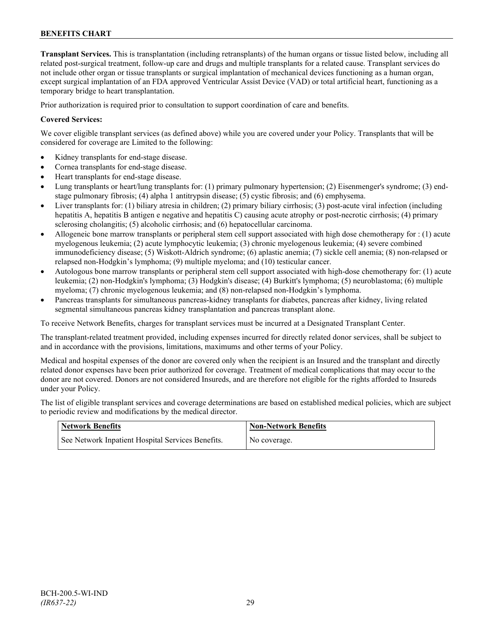**Transplant Services.** This is transplantation (including retransplants) of the human organs or tissue listed below, including all related post-surgical treatment, follow-up care and drugs and multiple transplants for a related cause. Transplant services do not include other organ or tissue transplants or surgical implantation of mechanical devices functioning as a human organ, except surgical implantation of an FDA approved Ventricular Assist Device (VAD) or total artificial heart, functioning as a temporary bridge to heart transplantation.

Prior authorization is required prior to consultation to support coordination of care and benefits.

# **Covered Services:**

We cover eligible transplant services (as defined above) while you are covered under your Policy. Transplants that will be considered for coverage are Limited to the following:

- Kidney transplants for end-stage disease.
- Cornea transplants for end-stage disease.
- Heart transplants for end-stage disease.
- Lung transplants or heart/lung transplants for: (1) primary pulmonary hypertension; (2) Eisenmenger's syndrome; (3) endstage pulmonary fibrosis; (4) alpha 1 antitrypsin disease; (5) cystic fibrosis; and (6) emphysema.
- Liver transplants for: (1) biliary atresia in children; (2) primary biliary cirrhosis; (3) post-acute viral infection (including hepatitis A, hepatitis B antigen e negative and hepatitis C) causing acute atrophy or post-necrotic cirrhosis; (4) primary sclerosing cholangitis; (5) alcoholic cirrhosis; and (6) hepatocellular carcinoma.
- Allogeneic bone marrow transplants or peripheral stem cell support associated with high dose chemotherapy for : (1) acute myelogenous leukemia; (2) acute lymphocytic leukemia; (3) chronic myelogenous leukemia; (4) severe combined immunodeficiency disease; (5) Wiskott-Aldrich syndrome; (6) aplastic anemia; (7) sickle cell anemia; (8) non-relapsed or relapsed non-Hodgkin's lymphoma; (9) multiple myeloma; and (10) testicular cancer.
- Autologous bone marrow transplants or peripheral stem cell support associated with high-dose chemotherapy for: (1) acute leukemia; (2) non-Hodgkin's lymphoma; (3) Hodgkin's disease; (4) Burkitt's lymphoma; (5) neuroblastoma; (6) multiple myeloma; (7) chronic myelogenous leukemia; and (8) non-relapsed non-Hodgkin's lymphoma.
- Pancreas transplants for simultaneous pancreas-kidney transplants for diabetes, pancreas after kidney, living related segmental simultaneous pancreas kidney transplantation and pancreas transplant alone.

To receive Network Benefits, charges for transplant services must be incurred at a Designated Transplant Center.

The transplant-related treatment provided, including expenses incurred for directly related donor services, shall be subject to and in accordance with the provisions, limitations, maximums and other terms of your Policy.

Medical and hospital expenses of the donor are covered only when the recipient is an Insured and the transplant and directly related donor expenses have been prior authorized for coverage. Treatment of medical complications that may occur to the donor are not covered. Donors are not considered Insureds, and are therefore not eligible for the rights afforded to Insureds under your Policy.

The list of eligible transplant services and coverage determinations are based on established medical policies, which are subject to periodic review and modifications by the medical director.

| <b>Network Benefits</b>                           | <b>Non-Network Benefits</b> |
|---------------------------------------------------|-----------------------------|
| See Network Inpatient Hospital Services Benefits. | No coverage.                |